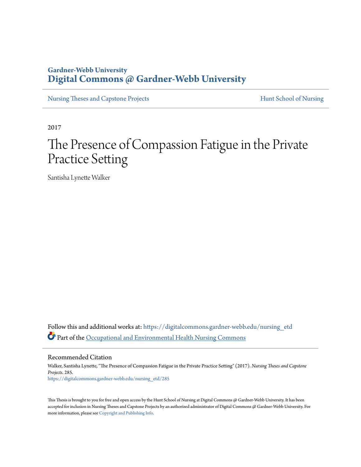# **Gardner-Webb University [Digital Commons @ Gardner-Webb University](https://digitalcommons.gardner-webb.edu?utm_source=digitalcommons.gardner-webb.edu%2Fnursing_etd%2F285&utm_medium=PDF&utm_campaign=PDFCoverPages)**

[Nursing Theses and Capstone Projects](https://digitalcommons.gardner-webb.edu/nursing_etd?utm_source=digitalcommons.gardner-webb.edu%2Fnursing_etd%2F285&utm_medium=PDF&utm_campaign=PDFCoverPages) **[Hunt School of Nursing](https://digitalcommons.gardner-webb.edu/nursing?utm_source=digitalcommons.gardner-webb.edu%2Fnursing_etd%2F285&utm_medium=PDF&utm_campaign=PDFCoverPages)** 

2017

# The Presence of Compassion Fatigue in the Private Practice Setting

Santisha Lynette Walker

Follow this and additional works at: [https://digitalcommons.gardner-webb.edu/nursing\\_etd](https://digitalcommons.gardner-webb.edu/nursing_etd?utm_source=digitalcommons.gardner-webb.edu%2Fnursing_etd%2F285&utm_medium=PDF&utm_campaign=PDFCoverPages) Part of the [Occupational and Environmental Health Nursing Commons](http://network.bepress.com/hgg/discipline/728?utm_source=digitalcommons.gardner-webb.edu%2Fnursing_etd%2F285&utm_medium=PDF&utm_campaign=PDFCoverPages)

Recommended Citation

Walker, Santisha Lynette, "The Presence of Compassion Fatigue in the Private Practice Setting" (2017). *Nursing Theses and Capstone Projects*. 285. [https://digitalcommons.gardner-webb.edu/nursing\\_etd/285](https://digitalcommons.gardner-webb.edu/nursing_etd/285?utm_source=digitalcommons.gardner-webb.edu%2Fnursing_etd%2F285&utm_medium=PDF&utm_campaign=PDFCoverPages)

This Thesis is brought to you for free and open access by the Hunt School of Nursing at Digital Commons @ Gardner-Webb University. It has been accepted for inclusion in Nursing Theses and Capstone Projects by an authorized administrator of Digital Commons @ Gardner-Webb University. For more information, please see [Copyright and Publishing Info](https://digitalcommons.gardner-webb.edu/copyright_publishing.html).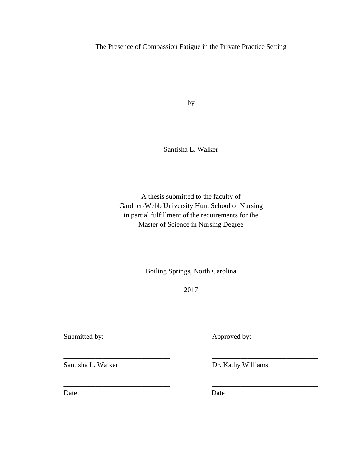The Presence of Compassion Fatigue in the Private Practice Setting

by

Santisha L. Walker

A thesis submitted to the faculty of Gardner-Webb University Hunt School of Nursing in partial fulfillment of the requirements for the Master of Science in Nursing Degree

Boiling Springs, North Carolina

2017

\_\_\_\_\_\_\_\_\_\_\_\_\_\_\_\_\_\_\_\_\_\_\_\_\_\_\_\_\_\_ \_\_\_\_\_\_\_\_\_\_\_\_\_\_\_\_\_\_\_\_\_\_\_\_\_\_\_\_\_\_

\_\_\_\_\_\_\_\_\_\_\_\_\_\_\_\_\_\_\_\_\_\_\_\_\_\_\_\_\_\_ \_\_\_\_\_\_\_\_\_\_\_\_\_\_\_\_\_\_\_\_\_\_\_\_\_\_\_\_\_\_

Submitted by: Approved by:

Santisha L. Walker Dr. Kathy Williams

Date Date Date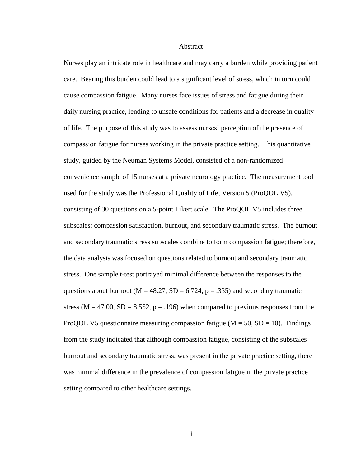#### Abstract

Nurses play an intricate role in healthcare and may carry a burden while providing patient care. Bearing this burden could lead to a significant level of stress, which in turn could cause compassion fatigue. Many nurses face issues of stress and fatigue during their daily nursing practice, lending to unsafe conditions for patients and a decrease in quality of life. The purpose of this study was to assess nurses' perception of the presence of compassion fatigue for nurses working in the private practice setting. This quantitative study, guided by the Neuman Systems Model, consisted of a non-randomized convenience sample of 15 nurses at a private neurology practice. The measurement tool used for the study was the Professional Quality of Life, Version 5 (ProQOL V5), consisting of 30 questions on a 5-point Likert scale. The ProQOL V5 includes three subscales: compassion satisfaction, burnout, and secondary traumatic stress. The burnout and secondary traumatic stress subscales combine to form compassion fatigue; therefore, the data analysis was focused on questions related to burnout and secondary traumatic stress. One sample t-test portrayed minimal difference between the responses to the questions about burnout ( $M = 48.27$ ,  $SD = 6.724$ ,  $p = .335$ ) and secondary traumatic stress ( $M = 47.00$ ,  $SD = 8.552$ ,  $p = .196$ ) when compared to previous responses from the ProQOL V5 questionnaire measuring compassion fatigue ( $M = 50$ ,  $SD = 10$ ). Findings from the study indicated that although compassion fatigue, consisting of the subscales burnout and secondary traumatic stress, was present in the private practice setting, there was minimal difference in the prevalence of compassion fatigue in the private practice setting compared to other healthcare settings.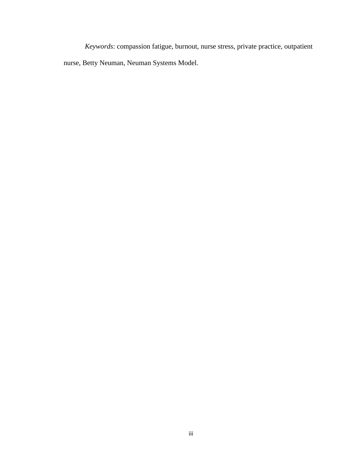*Keywords*: compassion fatigue, burnout, nurse stress, private practice, outpatient nurse, Betty Neuman, Neuman Systems Model.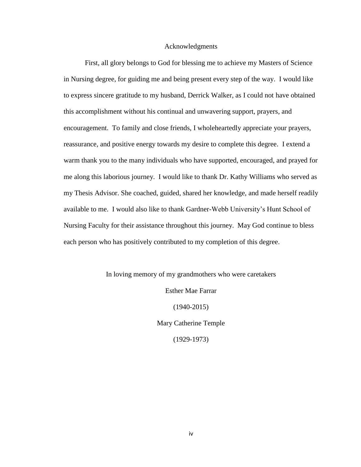#### Acknowledgments

 First, all glory belongs to God for blessing me to achieve my Masters of Science in Nursing degree, for guiding me and being present every step of the way. I would like to express sincere gratitude to my husband, Derrick Walker, as I could not have obtained this accomplishment without his continual and unwavering support, prayers, and encouragement. To family and close friends, I wholeheartedly appreciate your prayers, reassurance, and positive energy towards my desire to complete this degree. I extend a warm thank you to the many individuals who have supported, encouraged, and prayed for me along this laborious journey. I would like to thank Dr. Kathy Williams who served as my Thesis Advisor. She coached, guided, shared her knowledge, and made herself readily available to me. I would also like to thank Gardner-Webb University's Hunt School of Nursing Faculty for their assistance throughout this journey. May God continue to bless each person who has positively contributed to my completion of this degree.

In loving memory of my grandmothers who were caretakers

Esther Mae Farrar

(1940-2015)

Mary Catherine Temple

(1929-1973)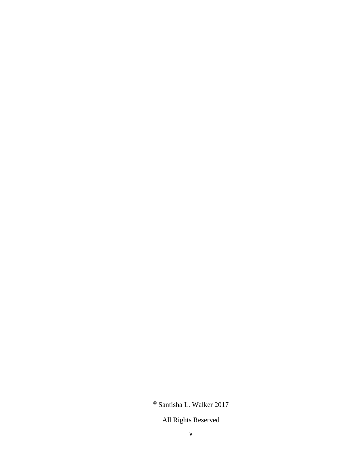**©** Santisha L. Walker 2017

All Rights Reserved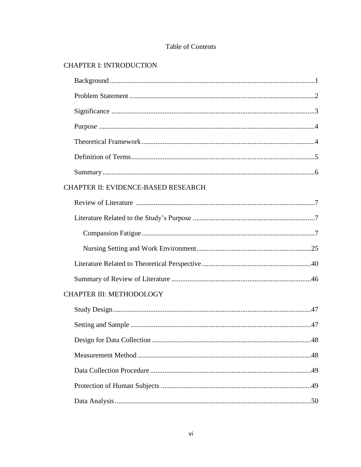# Table of Contents

# **CHAPTER I: INTRODUCTION**

| <b>CHAPTER II: EVIDENCE-BASED RESEARCH</b> |
|--------------------------------------------|
|                                            |
|                                            |
|                                            |
|                                            |
|                                            |
|                                            |
| CHAPTER III: METHODOLOGY                   |
|                                            |
|                                            |
|                                            |
|                                            |
|                                            |
|                                            |
|                                            |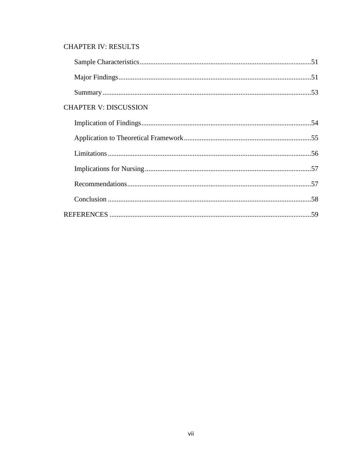# **CHAPTER IV: RESULTS**

| <b>CHAPTER V: DISCUSSION</b> |  |
|------------------------------|--|
|                              |  |
|                              |  |
|                              |  |
|                              |  |
|                              |  |
|                              |  |
|                              |  |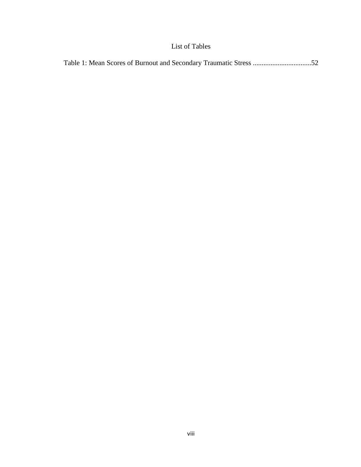# List of Tables

|--|--|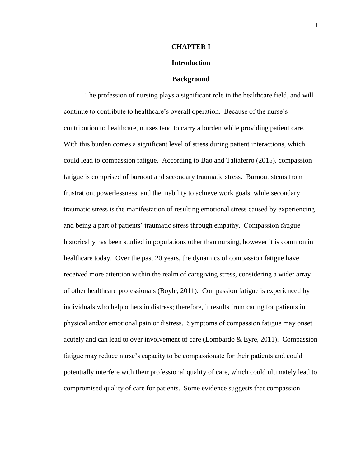# **CHAPTER I**

# **Introduction**

#### **Background**

The profession of nursing plays a significant role in the healthcare field, and will continue to contribute to healthcare's overall operation. Because of the nurse's contribution to healthcare, nurses tend to carry a burden while providing patient care. With this burden comes a significant level of stress during patient interactions, which could lead to compassion fatigue. According to Bao and Taliaferro (2015), compassion fatigue is comprised of burnout and secondary traumatic stress. Burnout stems from frustration, powerlessness, and the inability to achieve work goals, while secondary traumatic stress is the manifestation of resulting emotional stress caused by experiencing and being a part of patients' traumatic stress through empathy. Compassion fatigue historically has been studied in populations other than nursing, however it is common in healthcare today. Over the past 20 years, the dynamics of compassion fatigue have received more attention within the realm of caregiving stress, considering a wider array of other healthcare professionals (Boyle, 2011). Compassion fatigue is experienced by individuals who help others in distress; therefore, it results from caring for patients in physical and/or emotional pain or distress. Symptoms of compassion fatigue may onset acutely and can lead to over involvement of care (Lombardo  $\&$  Eyre, 2011). Compassion fatigue may reduce nurse's capacity to be compassionate for their patients and could potentially interfere with their professional quality of care, which could ultimately lead to compromised quality of care for patients. Some evidence suggests that compassion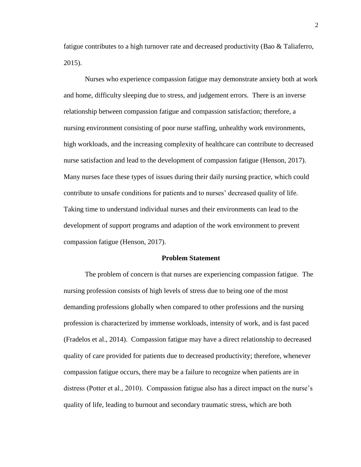fatigue contributes to a high turnover rate and decreased productivity (Bao & Taliaferro, 2015).

Nurses who experience compassion fatigue may demonstrate anxiety both at work and home, difficulty sleeping due to stress, and judgement errors. There is an inverse relationship between compassion fatigue and compassion satisfaction; therefore, a nursing environment consisting of poor nurse staffing, unhealthy work environments, high workloads, and the increasing complexity of healthcare can contribute to decreased nurse satisfaction and lead to the development of compassion fatigue (Henson, 2017). Many nurses face these types of issues during their daily nursing practice, which could contribute to unsafe conditions for patients and to nurses' decreased quality of life. Taking time to understand individual nurses and their environments can lead to the development of support programs and adaption of the work environment to prevent compassion fatigue (Henson, 2017).

#### **Problem Statement**

The problem of concern is that nurses are experiencing compassion fatigue. The nursing profession consists of high levels of stress due to being one of the most demanding professions globally when compared to other professions and the nursing profession is characterized by immense workloads, intensity of work, and is fast paced (Fradelos et al., 2014). Compassion fatigue may have a direct relationship to decreased quality of care provided for patients due to decreased productivity; therefore, whenever compassion fatigue occurs, there may be a failure to recognize when patients are in distress (Potter et al., 2010). Compassion fatigue also has a direct impact on the nurse's quality of life, leading to burnout and secondary traumatic stress, which are both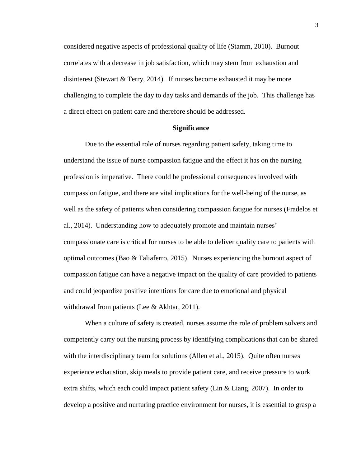considered negative aspects of professional quality of life (Stamm, 2010). Burnout correlates with a decrease in job satisfaction, which may stem from exhaustion and disinterest (Stewart  $&$  Terry, 2014). If nurses become exhausted it may be more challenging to complete the day to day tasks and demands of the job. This challenge has a direct effect on patient care and therefore should be addressed.

# **Significance**

Due to the essential role of nurses regarding patient safety, taking time to understand the issue of nurse compassion fatigue and the effect it has on the nursing profession is imperative. There could be professional consequences involved with compassion fatigue, and there are vital implications for the well-being of the nurse, as well as the safety of patients when considering compassion fatigue for nurses (Fradelos et al., 2014). Understanding how to adequately promote and maintain nurses' compassionate care is critical for nurses to be able to deliver quality care to patients with optimal outcomes (Bao  $\&$  Taliaferro, 2015). Nurses experiencing the burnout aspect of compassion fatigue can have a negative impact on the quality of care provided to patients and could jeopardize positive intentions for care due to emotional and physical withdrawal from patients (Lee & Akhtar, 2011).

When a culture of safety is created, nurses assume the role of problem solvers and competently carry out the nursing process by identifying complications that can be shared with the interdisciplinary team for solutions (Allen et al., 2015). Quite often nurses experience exhaustion, skip meals to provide patient care, and receive pressure to work extra shifts, which each could impact patient safety (Lin & Liang, 2007). In order to develop a positive and nurturing practice environment for nurses, it is essential to grasp a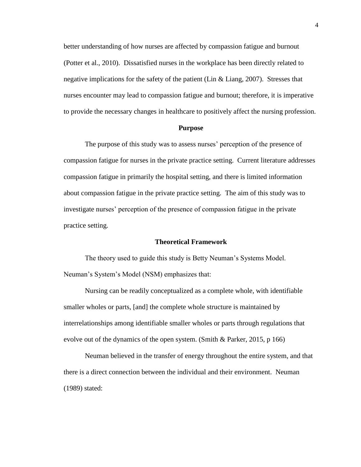better understanding of how nurses are affected by compassion fatigue and burnout (Potter et al., 2010). Dissatisfied nurses in the workplace has been directly related to negative implications for the safety of the patient (Lin & Liang, 2007). Stresses that nurses encounter may lead to compassion fatigue and burnout; therefore, it is imperative to provide the necessary changes in healthcare to positively affect the nursing profession.

#### **Purpose**

The purpose of this study was to assess nurses' perception of the presence of compassion fatigue for nurses in the private practice setting. Current literature addresses compassion fatigue in primarily the hospital setting, and there is limited information about compassion fatigue in the private practice setting. The aim of this study was to investigate nurses' perception of the presence of compassion fatigue in the private practice setting.

# **Theoretical Framework**

The theory used to guide this study is Betty Neuman's Systems Model. Neuman's System's Model (NSM) emphasizes that:

Nursing can be readily conceptualized as a complete whole, with identifiable smaller wholes or parts, [and] the complete whole structure is maintained by interrelationships among identifiable smaller wholes or parts through regulations that evolve out of the dynamics of the open system. (Smith & Parker, 2015, p 166)

Neuman believed in the transfer of energy throughout the entire system, and that there is a direct connection between the individual and their environment. Neuman (1989) stated: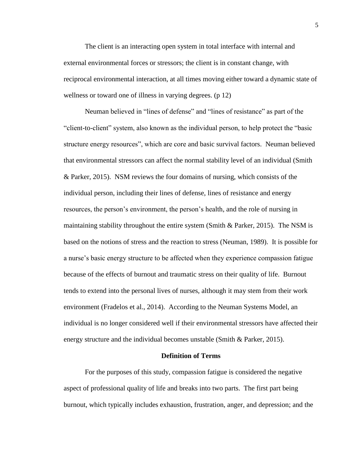The client is an interacting open system in total interface with internal and external environmental forces or stressors; the client is in constant change, with reciprocal environmental interaction, at all times moving either toward a dynamic state of wellness or toward one of illness in varying degrees. (p 12)

Neuman believed in "lines of defense" and "lines of resistance" as part of the "client-to-client" system, also known as the individual person, to help protect the "basic structure energy resources", which are core and basic survival factors. Neuman believed that environmental stressors can affect the normal stability level of an individual (Smith & Parker, 2015). NSM reviews the four domains of nursing, which consists of the individual person, including their lines of defense, lines of resistance and energy resources, the person's environment, the person's health, and the role of nursing in maintaining stability throughout the entire system (Smith & Parker, 2015). The NSM is based on the notions of stress and the reaction to stress (Neuman, 1989). It is possible for a nurse's basic energy structure to be affected when they experience compassion fatigue because of the effects of burnout and traumatic stress on their quality of life. Burnout tends to extend into the personal lives of nurses, although it may stem from their work environment (Fradelos et al., 2014). According to the Neuman Systems Model, an individual is no longer considered well if their environmental stressors have affected their energy structure and the individual becomes unstable (Smith & Parker, 2015).

## **Definition of Terms**

For the purposes of this study, compassion fatigue is considered the negative aspect of professional quality of life and breaks into two parts. The first part being burnout, which typically includes exhaustion, frustration, anger, and depression; and the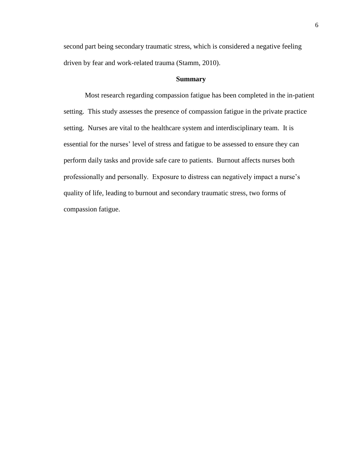second part being secondary traumatic stress, which is considered a negative feeling driven by fear and work-related trauma (Stamm, 2010).

# **Summary**

Most research regarding compassion fatigue has been completed in the in-patient setting. This study assesses the presence of compassion fatigue in the private practice setting. Nurses are vital to the healthcare system and interdisciplinary team. It is essential for the nurses' level of stress and fatigue to be assessed to ensure they can perform daily tasks and provide safe care to patients. Burnout affects nurses both professionally and personally. Exposure to distress can negatively impact a nurse's quality of life, leading to burnout and secondary traumatic stress, two forms of compassion fatigue.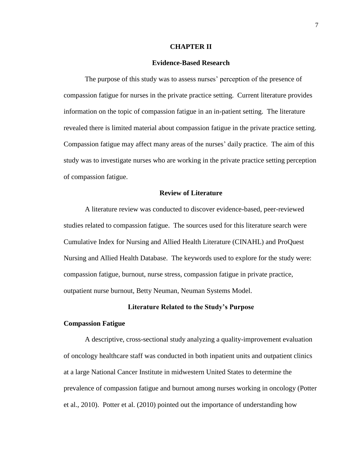# **CHAPTER II**

#### **Evidence-Based Research**

The purpose of this study was to assess nurses' perception of the presence of compassion fatigue for nurses in the private practice setting. Current literature provides information on the topic of compassion fatigue in an in-patient setting. The literature revealed there is limited material about compassion fatigue in the private practice setting. Compassion fatigue may affect many areas of the nurses' daily practice. The aim of this study was to investigate nurses who are working in the private practice setting perception of compassion fatigue.

# **Review of Literature**

A literature review was conducted to discover evidence-based, peer-reviewed studies related to compassion fatigue. The sources used for this literature search were Cumulative Index for Nursing and Allied Health Literature (CINAHL) and ProQuest Nursing and Allied Health Database. The keywords used to explore for the study were: compassion fatigue, burnout, nurse stress, compassion fatigue in private practice, outpatient nurse burnout, Betty Neuman, Neuman Systems Model.

#### **Literature Related to the Study's Purpose**

#### **Compassion Fatigue**

A descriptive, cross-sectional study analyzing a quality-improvement evaluation of oncology healthcare staff was conducted in both inpatient units and outpatient clinics at a large National Cancer Institute in midwestern United States to determine the prevalence of compassion fatigue and burnout among nurses working in oncology (Potter et al., 2010). Potter et al. (2010) pointed out the importance of understanding how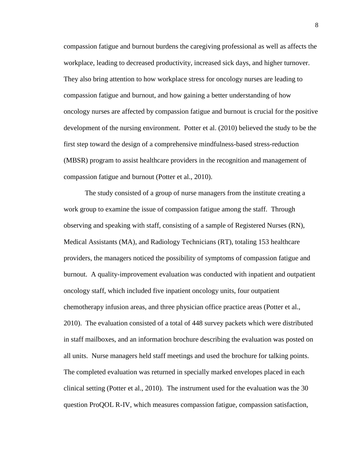compassion fatigue and burnout burdens the caregiving professional as well as affects the workplace, leading to decreased productivity, increased sick days, and higher turnover. They also bring attention to how workplace stress for oncology nurses are leading to compassion fatigue and burnout, and how gaining a better understanding of how oncology nurses are affected by compassion fatigue and burnout is crucial for the positive development of the nursing environment. Potter et al. (2010) believed the study to be the first step toward the design of a comprehensive mindfulness-based stress-reduction (MBSR) program to assist healthcare providers in the recognition and management of compassion fatigue and burnout (Potter et al., 2010).

The study consisted of a group of nurse managers from the institute creating a work group to examine the issue of compassion fatigue among the staff. Through observing and speaking with staff, consisting of a sample of Registered Nurses (RN), Medical Assistants (MA), and Radiology Technicians (RT), totaling 153 healthcare providers, the managers noticed the possibility of symptoms of compassion fatigue and burnout. A quality-improvement evaluation was conducted with inpatient and outpatient oncology staff, which included five inpatient oncology units, four outpatient chemotherapy infusion areas, and three physician office practice areas (Potter et al., 2010). The evaluation consisted of a total of 448 survey packets which were distributed in staff mailboxes, and an information brochure describing the evaluation was posted on all units. Nurse managers held staff meetings and used the brochure for talking points. The completed evaluation was returned in specially marked envelopes placed in each clinical setting (Potter et al., 2010). The instrument used for the evaluation was the 30 question ProQOL R-IV, which measures compassion fatigue, compassion satisfaction,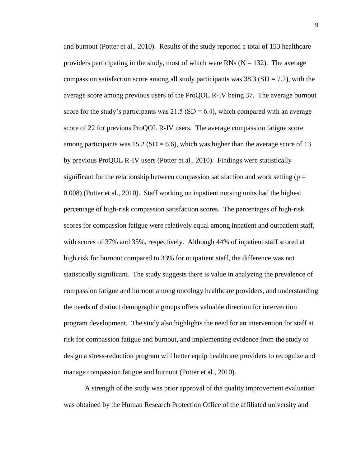and burnout (Potter et al., 2010). Results of the study reported a total of 153 healthcare providers participating in the study, most of which were RNs ( $N = 132$ ). The average compassion satisfaction score among all study participants was  $38.3$  (SD = 7.2), with the average score among previous users of the ProQOL R-IV being 37. The average burnout score for the study's participants was  $21.5$  (SD = 6.4), which compared with an average score of 22 for previous ProQOL R-IV users. The average compassion fatigue score among participants was 15.2 (SD = 6.6), which was higher than the average score of 13 by previous ProQOL R-IV users (Potter et al., 2010). Findings were statistically significant for the relationship between compassion satisfaction and work setting ( $p =$ 0.008) (Potter et al., 2010). Staff working on inpatient nursing units had the highest percentage of high-risk compassion satisfaction scores. The percentages of high-risk scores for compassion fatigue were relatively equal among inpatient and outpatient staff, with scores of 37% and 35%, respectively. Although 44% of inpatient staff scored at high risk for burnout compared to 33% for outpatient staff, the difference was not statistically significant. The study suggests there is value in analyzing the prevalence of compassion fatigue and burnout among oncology healthcare providers, and understanding the needs of distinct demographic groups offers valuable direction for intervention program development. The study also highlights the need for an intervention for staff at risk for compassion fatigue and burnout, and implementing evidence from the study to design a stress-reduction program will better equip healthcare providers to recognize and manage compassion fatigue and burnout (Potter et al., 2010).

A strength of the study was prior approval of the quality improvement evaluation was obtained by the Human Research Protection Office of the affiliated university and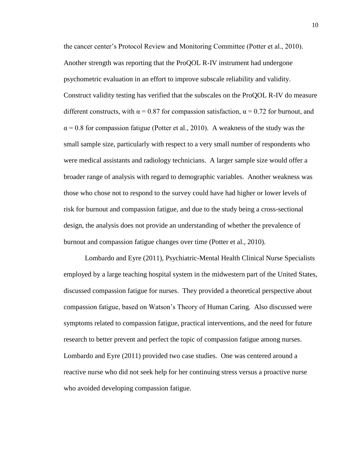the cancer center's Protocol Review and Monitoring Committee (Potter et al., 2010). Another strength was reporting that the ProQOL R-IV instrument had undergone psychometric evaluation in an effort to improve subscale reliability and validity. Construct validity testing has verified that the subscales on the ProQOL R-IV do measure different constructs, with  $\alpha = 0.87$  for compassion satisfaction,  $\alpha = 0.72$  for burnout, and  $\alpha$  = 0.8 for compassion fatigue (Potter et al., 2010). A weakness of the study was the small sample size, particularly with respect to a very small number of respondents who were medical assistants and radiology technicians. A larger sample size would offer a broader range of analysis with regard to demographic variables. Another weakness was those who chose not to respond to the survey could have had higher or lower levels of risk for burnout and compassion fatigue, and due to the study being a cross-sectional design, the analysis does not provide an understanding of whether the prevalence of burnout and compassion fatigue changes over time (Potter et al., 2010).

Lombardo and Eyre (2011), Psychiatric-Mental Health Clinical Nurse Specialists employed by a large teaching hospital system in the midwestern part of the United States, discussed compassion fatigue for nurses. They provided a theoretical perspective about compassion fatigue, based on Watson's Theory of Human Caring. Also discussed were symptoms related to compassion fatigue, practical interventions, and the need for future research to better prevent and perfect the topic of compassion fatigue among nurses. Lombardo and Eyre (2011) provided two case studies. One was centered around a reactive nurse who did not seek help for her continuing stress versus a proactive nurse who avoided developing compassion fatigue.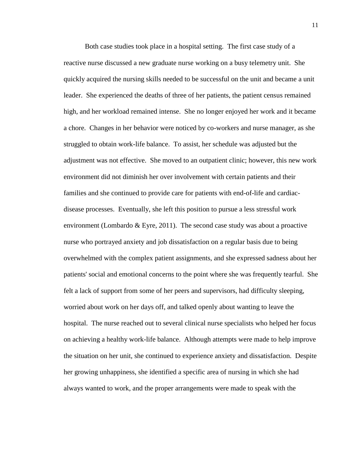Both case studies took place in a hospital setting. The first case study of a reactive nurse discussed a new graduate nurse working on a busy telemetry unit. She quickly acquired the nursing skills needed to be successful on the unit and became a unit leader. She experienced the deaths of three of her patients, the patient census remained high, and her workload remained intense. She no longer enjoyed her work and it became a chore. Changes in her behavior were noticed by co-workers and nurse manager, as she struggled to obtain work-life balance. To assist, her schedule was adjusted but the adjustment was not effective. She moved to an outpatient clinic; however, this new work environment did not diminish her over involvement with certain patients and their families and she continued to provide care for patients with end-of-life and cardiacdisease processes. Eventually, she left this position to pursue a less stressful work environment (Lombardo  $\&$  Eyre, 2011). The second case study was about a proactive nurse who portrayed anxiety and job dissatisfaction on a regular basis due to being overwhelmed with the complex patient assignments, and she expressed sadness about her patients' social and emotional concerns to the point where she was frequently tearful. She felt a lack of support from some of her peers and supervisors, had difficulty sleeping, worried about work on her days off, and talked openly about wanting to leave the hospital. The nurse reached out to several clinical nurse specialists who helped her focus on achieving a healthy work-life balance. Although attempts were made to help improve the situation on her unit, she continued to experience anxiety and dissatisfaction. Despite her growing unhappiness, she identified a specific area of nursing in which she had always wanted to work, and the proper arrangements were made to speak with the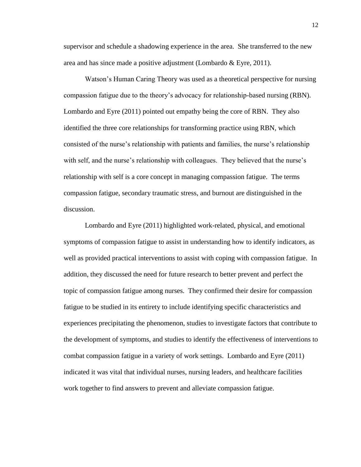supervisor and schedule a shadowing experience in the area. She transferred to the new area and has since made a positive adjustment (Lombardo & Eyre, 2011).

Watson's Human Caring Theory was used as a theoretical perspective for nursing compassion fatigue due to the theory's advocacy for relationship-based nursing (RBN). Lombardo and Eyre (2011) pointed out empathy being the core of RBN. They also identified the three core relationships for transforming practice using RBN, which consisted of the nurse's relationship with patients and families, the nurse's relationship with self, and the nurse's relationship with colleagues. They believed that the nurse's relationship with self is a core concept in managing compassion fatigue. The terms compassion fatigue, secondary traumatic stress, and burnout are distinguished in the discussion.

Lombardo and Eyre (2011) highlighted work-related, physical, and emotional symptoms of compassion fatigue to assist in understanding how to identify indicators, as well as provided practical interventions to assist with coping with compassion fatigue. In addition, they discussed the need for future research to better prevent and perfect the topic of compassion fatigue among nurses. They confirmed their desire for compassion fatigue to be studied in its entirety to include identifying specific characteristics and experiences precipitating the phenomenon, studies to investigate factors that contribute to the development of symptoms, and studies to identify the effectiveness of interventions to combat compassion fatigue in a variety of work settings. Lombardo and Eyre (2011) indicated it was vital that individual nurses, nursing leaders, and healthcare facilities work together to find answers to prevent and alleviate compassion fatigue.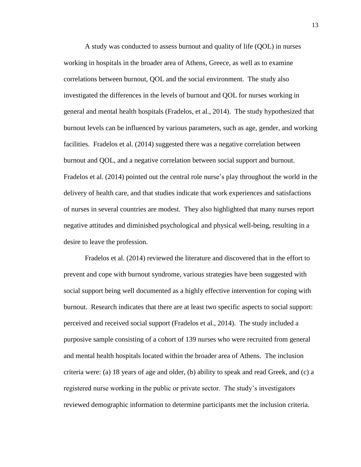A study was conducted to assess burnout and quality of life (QOL) in nurses working in hospitals in the broader area of Athens, Greece, as well as to examine correlations between burnout, QOL and the social environment. The study also investigated the differences in the levels of burnout and QOL for nurses working in general and mental health hospitals (Fradelos, et al., 2014). The study hypothesized that burnout levels can be influenced by various parameters, such as age, gender, and working facilities. Fradelos et al. (2014) suggested there was a negative correlation between burnout and QOL, and a negative correlation between social support and burnout. Fradelos et al. (2014) pointed out the central role nurse's play throughout the world in the delivery of health care, and that studies indicate that work experiences and satisfactions of nurses in several countries are modest. They also highlighted that many nurses report negative attitudes and diminished psychological and physical well-being, resulting in a desire to leave the profession.

Fradelos et al. (2014) reviewed the literature and discovered that in the effort to prevent and cope with burnout syndrome, various strategies have been suggested with social support being well documented as a highly effective intervention for coping with burnout. Research indicates that there are at least two specific aspects to social support: perceived and received social support (Fradelos et al., 2014). The study included a purposive sample consisting of a cohort of 139 nurses who were recruited from general and mental health hospitals located within the broader area of Athens. The inclusion criteria were: (a) 18 years of age and older, (b) ability to speak and read Greek, and (c) a registered nurse working in the public or private sector. The study's investigators reviewed demographic information to determine participants met the inclusion criteria.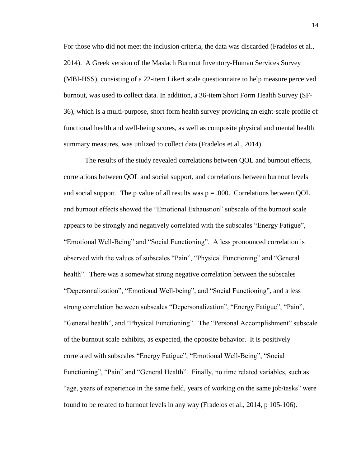For those who did not meet the inclusion criteria, the data was discarded (Fradelos et al., 2014). A Greek version of the Maslach Burnout Inventory-Human Services Survey (MBI-HSS), consisting of a 22-item Likert scale questionnaire to help measure perceived burnout, was used to collect data. In addition, a 36-item Short Form Health Survey (SF-36), which is a multi-purpose, short form health survey providing an eight-scale profile of functional health and well-being scores, as well as composite physical and mental health summary measures, was utilized to collect data (Fradelos et al., 2014).

The results of the study revealed correlations between QOL and burnout effects, correlations between QOL and social support, and correlations between burnout levels and social support. The p value of all results was  $p = .000$ . Correlations between QOL and burnout effects showed the "Emotional Exhaustion" subscale of the burnout scale appears to be strongly and negatively correlated with the subscales "Energy Fatigue", "Emotional Well-Being" and "Social Functioning". A less pronounced correlation is observed with the values of subscales "Pain", "Physical Functioning" and "General health". There was a somewhat strong negative correlation between the subscales "Depersonalization", "Emotional Well-being", and "Social Functioning", and a less strong correlation between subscales "Depersonalization", "Energy Fatigue", "Pain", "General health", and "Physical Functioning". The "Personal Accomplishment" subscale of the burnout scale exhibits, as expected, the opposite behavior. It is positively correlated with subscales "Energy Fatigue", "Emotional Well-Being", "Social Functioning", "Pain" and "General Health". Finally, no time related variables, such as "age, years of experience in the same field, years of working on the same job/tasks" were found to be related to burnout levels in any way (Fradelos et al., 2014, p 105-106).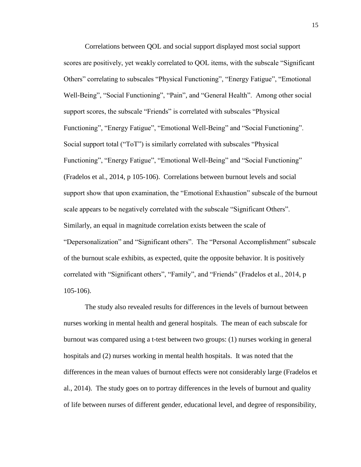Correlations between QOL and social support displayed most social support scores are positively, yet weakly correlated to QOL items, with the subscale "Significant Others" correlating to subscales "Physical Functioning", "Energy Fatigue", "Emotional Well-Being", "Social Functioning", "Pain", and "General Health". Among other social support scores, the subscale "Friends" is correlated with subscales "Physical Functioning", "Energy Fatigue", "Emotional Well-Being" and "Social Functioning". Social support total ("ToT") is similarly correlated with subscales "Physical Functioning", "Energy Fatigue", "Emotional Well-Being" and "Social Functioning" (Fradelos et al., 2014, p 105-106). Correlations between burnout levels and social support show that upon examination, the "Emotional Exhaustion" subscale of the burnout scale appears to be negatively correlated with the subscale "Significant Others". Similarly, an equal in magnitude correlation exists between the scale of "Depersonalization" and "Significant others". The "Personal Accomplishment" subscale of the burnout scale exhibits, as expected, quite the opposite behavior. It is positively correlated with "Significant others", "Family", and "Friends" (Fradelos et al., 2014, p 105-106).

The study also revealed results for differences in the levels of burnout between nurses working in mental health and general hospitals. The mean of each subscale for burnout was compared using a t-test between two groups: (1) nurses working in general hospitals and (2) nurses working in mental health hospitals. It was noted that the differences in the mean values of burnout effects were not considerably large (Fradelos et al., 2014). The study goes on to portray differences in the levels of burnout and quality of life between nurses of different gender, educational level, and degree of responsibility,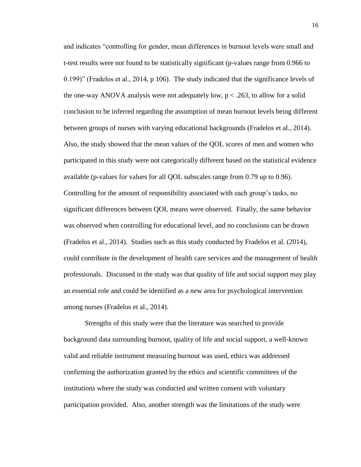and indicates "controlling for gender, mean differences in burnout levels were small and t-test results were not found to be statistically significant (p-values range from 0.966 to 0.199)" (Fradelos et al., 2014, p 106). The study indicated that the significance levels of the one-way ANOVA analysis were not adequately low,  $p < .263$ , to allow for a solid conclusion to be inferred regarding the assumption of mean burnout levels being different between groups of nurses with varying educational backgrounds (Fradelos et al., 2014). Also, the study showed that the mean values of the QOL scores of men and women who participated in this study were not categorically different based on the statistical evidence available (p-values for values for all QOL subscales range from 0.79 up to 0.96). Controlling for the amount of responsibility associated with each group's tasks, no significant differences between QOL means were observed. Finally, the same behavior was observed when controlling for educational level, and no conclusions can be drawn (Fradelos et al., 2014). Studies such as this study conducted by Fradelos et al. (2014), could contribute in the development of health care services and the management of health professionals. Discussed in the study was that quality of life and social support may play an essential role and could be identified as a new area for psychological intervention among nurses (Fradelos et al., 2014).

Strengths of this study were that the literature was searched to provide background data surrounding burnout, quality of life and social support, a well-known valid and reliable instrument measuring burnout was used, ethics was addressed confirming the authorization granted by the ethics and scientific committees of the institutions where the study was conducted and written consent with voluntary participation provided. Also, another strength was the limitations of the study were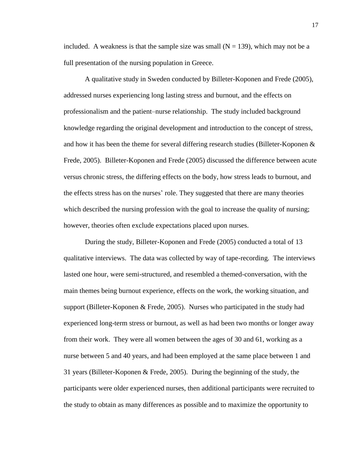included. A weakness is that the sample size was small  $(N = 139)$ , which may not be a full presentation of the nursing population in Greece.

A qualitative study in Sweden conducted by Billeter-Koponen and Frede (2005), addressed nurses experiencing long lasting stress and burnout, and the effects on professionalism and the patient–nurse relationship. The study included background knowledge regarding the original development and introduction to the concept of stress, and how it has been the theme for several differing research studies (Billeter-Koponen  $\&$ Frede, 2005). Billeter-Koponen and Frede (2005) discussed the difference between acute versus chronic stress, the differing effects on the body, how stress leads to burnout, and the effects stress has on the nurses' role. They suggested that there are many theories which described the nursing profession with the goal to increase the quality of nursing; however, theories often exclude expectations placed upon nurses.

During the study, Billeter-Koponen and Frede (2005) conducted a total of 13 qualitative interviews. The data was collected by way of tape-recording. The interviews lasted one hour, were semi-structured, and resembled a themed-conversation, with the main themes being burnout experience, effects on the work, the working situation, and support (Billeter-Koponen & Frede, 2005). Nurses who participated in the study had experienced long-term stress or burnout, as well as had been two months or longer away from their work. They were all women between the ages of 30 and 61, working as a nurse between 5 and 40 years, and had been employed at the same place between 1 and 31 years (Billeter-Koponen & Frede, 2005). During the beginning of the study, the participants were older experienced nurses, then additional participants were recruited to the study to obtain as many differences as possible and to maximize the opportunity to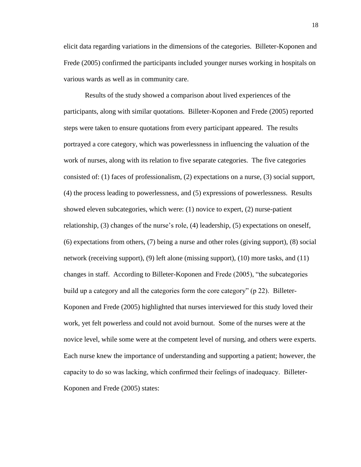elicit data regarding variations in the dimensions of the categories. Billeter-Koponen and Frede (2005) confirmed the participants included younger nurses working in hospitals on various wards as well as in community care.

Results of the study showed a comparison about lived experiences of the participants, along with similar quotations. Billeter-Koponen and Frede (2005) reported steps were taken to ensure quotations from every participant appeared. The results portrayed a core category, which was powerlessness in influencing the valuation of the work of nurses, along with its relation to five separate categories. The five categories consisted of: (1) faces of professionalism, (2) expectations on a nurse, (3) social support, (4) the process leading to powerlessness, and (5) expressions of powerlessness. Results showed eleven subcategories, which were: (1) novice to expert, (2) nurse-patient relationship, (3) changes of the nurse's role, (4) leadership, (5) expectations on oneself, (6) expectations from others, (7) being a nurse and other roles (giving support), (8) social network (receiving support), (9) left alone (missing support), (10) more tasks, and (11) changes in staff. According to Billeter-Koponen and Frede (2005), "the subcategories build up a category and all the categories form the core category" (p 22). Billeter-Koponen and Frede (2005) highlighted that nurses interviewed for this study loved their work, yet felt powerless and could not avoid burnout. Some of the nurses were at the novice level, while some were at the competent level of nursing, and others were experts. Each nurse knew the importance of understanding and supporting a patient; however, the capacity to do so was lacking, which confirmed their feelings of inadequacy. Billeter-Koponen and Frede (2005) states: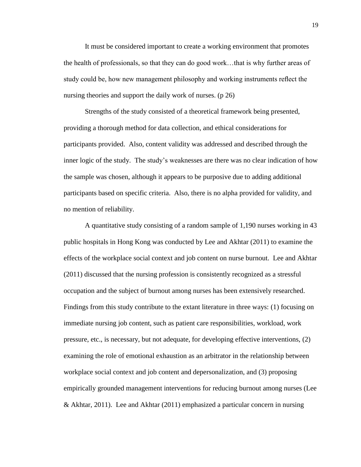It must be considered important to create a working environment that promotes the health of professionals, so that they can do good work…that is why further areas of study could be, how new management philosophy and working instruments reflect the nursing theories and support the daily work of nurses. (p 26)

Strengths of the study consisted of a theoretical framework being presented, providing a thorough method for data collection, and ethical considerations for participants provided. Also, content validity was addressed and described through the inner logic of the study. The study's weaknesses are there was no clear indication of how the sample was chosen, although it appears to be purposive due to adding additional participants based on specific criteria. Also, there is no alpha provided for validity, and no mention of reliability.

A quantitative study consisting of a random sample of 1,190 nurses working in 43 public hospitals in Hong Kong was conducted by Lee and Akhtar (2011) to examine the effects of the workplace social context and job content on nurse burnout. Lee and Akhtar (2011) discussed that the nursing profession is consistently recognized as a stressful occupation and the subject of burnout among nurses has been extensively researched. Findings from this study contribute to the extant literature in three ways: (1) focusing on immediate nursing job content, such as patient care responsibilities, workload, work pressure, etc., is necessary, but not adequate, for developing effective interventions, (2) examining the role of emotional exhaustion as an arbitrator in the relationship between workplace social context and job content and depersonalization, and (3) proposing empirically grounded management interventions for reducing burnout among nurses (Lee & Akhtar, 2011). Lee and Akhtar (2011) emphasized a particular concern in nursing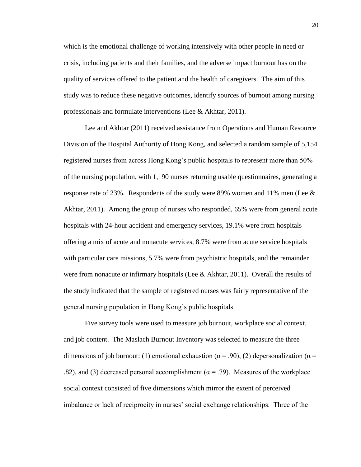which is the emotional challenge of working intensively with other people in need or crisis, including patients and their families, and the adverse impact burnout has on the quality of services offered to the patient and the health of caregivers. The aim of this study was to reduce these negative outcomes, identify sources of burnout among nursing professionals and formulate interventions (Lee & Akhtar, 2011).

Lee and Akhtar (2011) received assistance from Operations and Human Resource Division of the Hospital Authority of Hong Kong, and selected a random sample of 5,154 registered nurses from across Hong Kong's public hospitals to represent more than 50% of the nursing population, with 1,190 nurses returning usable questionnaires, generating a response rate of 23%. Respondents of the study were 89% women and 11% men (Lee  $\&$ Akhtar, 2011). Among the group of nurses who responded, 65% were from general acute hospitals with 24-hour accident and emergency services, 19.1% were from hospitals offering a mix of acute and nonacute services, 8.7% were from acute service hospitals with particular care missions, 5.7% were from psychiatric hospitals, and the remainder were from nonacute or infirmary hospitals (Lee & Akhtar, 2011). Overall the results of the study indicated that the sample of registered nurses was fairly representative of the general nursing population in Hong Kong's public hospitals.

Five survey tools were used to measure job burnout, workplace social context, and job content. The Maslach Burnout Inventory was selected to measure the three dimensions of job burnout: (1) emotional exhaustion ( $\alpha$  = .90), (2) depersonalization ( $\alpha$  = .82), and (3) decreased personal accomplishment ( $\alpha$  = .79). Measures of the workplace social context consisted of five dimensions which mirror the extent of perceived imbalance or lack of reciprocity in nurses' social exchange relationships. Three of the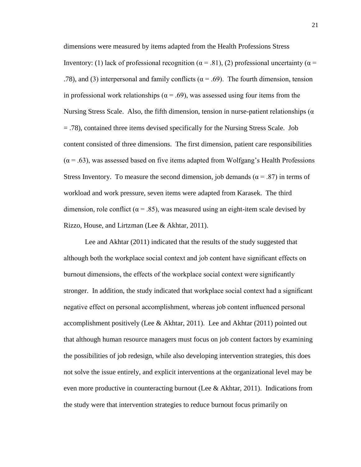dimensions were measured by items adapted from the Health Professions Stress Inventory: (1) lack of professional recognition ( $\alpha$  = .81), (2) professional uncertainty ( $\alpha$  = .78), and (3) interpersonal and family conflicts ( $\alpha$  = .69). The fourth dimension, tension in professional work relationships ( $\alpha = .69$ ), was assessed using four items from the Nursing Stress Scale. Also, the fifth dimension, tension in nurse-patient relationships ( $\alpha$ ) = .78), contained three items devised specifically for the Nursing Stress Scale. Job content consisted of three dimensions. The first dimension, patient care responsibilities  $(\alpha = .63)$ , was assessed based on five items adapted from Wolfgang's Health Professions Stress Inventory. To measure the second dimension, job demands ( $\alpha = .87$ ) in terms of workload and work pressure, seven items were adapted from Karasek. The third dimension, role conflict ( $\alpha$  = .85), was measured using an eight-item scale devised by Rizzo, House, and Lirtzman (Lee & Akhtar, 2011).

Lee and Akhtar (2011) indicated that the results of the study suggested that although both the workplace social context and job content have significant effects on burnout dimensions, the effects of the workplace social context were significantly stronger. In addition, the study indicated that workplace social context had a significant negative effect on personal accomplishment, whereas job content influenced personal accomplishment positively (Lee & Akhtar, 2011). Lee and Akhtar (2011) pointed out that although human resource managers must focus on job content factors by examining the possibilities of job redesign, while also developing intervention strategies, this does not solve the issue entirely, and explicit interventions at the organizational level may be even more productive in counteracting burnout (Lee  $\&$  Akhtar, 2011). Indications from the study were that intervention strategies to reduce burnout focus primarily on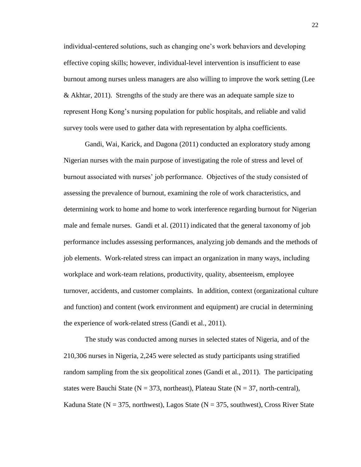individual-centered solutions, such as changing one's work behaviors and developing effective coping skills; however, individual-level intervention is insufficient to ease burnout among nurses unless managers are also willing to improve the work setting (Lee & Akhtar, 2011). Strengths of the study are there was an adequate sample size to represent Hong Kong's nursing population for public hospitals, and reliable and valid survey tools were used to gather data with representation by alpha coefficients.

Gandi, Wai, Karick, and Dagona (2011) conducted an exploratory study among Nigerian nurses with the main purpose of investigating the role of stress and level of burnout associated with nurses' job performance. Objectives of the study consisted of assessing the prevalence of burnout, examining the role of work characteristics, and determining work to home and home to work interference regarding burnout for Nigerian male and female nurses. Gandi et al. (2011) indicated that the general taxonomy of job performance includes assessing performances, analyzing job demands and the methods of job elements. Work-related stress can impact an organization in many ways, including workplace and work-team relations, productivity, quality, absenteeism, employee turnover, accidents, and customer complaints. In addition, context (organizational culture and function) and content (work environment and equipment) are crucial in determining the experience of work-related stress (Gandi et al., 2011).

The study was conducted among nurses in selected states of Nigeria, and of the 210,306 nurses in Nigeria, 2,245 were selected as study participants using stratified random sampling from the six geopolitical zones (Gandi et al., 2011). The participating states were Bauchi State ( $N = 373$ , northeast), Plateau State ( $N = 37$ , north-central), Kaduna State ( $N = 375$ , northwest), Lagos State ( $N = 375$ , southwest), Cross River State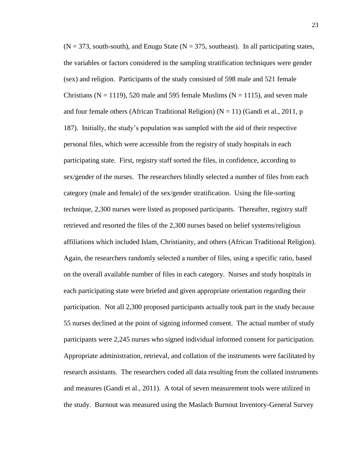$(N = 373$ , south-south), and Enugu State  $(N = 375$ , southeast). In all participating states, the variables or factors considered in the sampling stratification techniques were gender (sex) and religion. Participants of the study consisted of 598 male and 521 female Christians ( $N = 1119$ ), 520 male and 595 female Muslims ( $N = 1115$ ), and seven male and four female others (African Traditional Religion)  $(N = 11)$  (Gandi et al., 2011, p 187). Initially, the study's population was sampled with the aid of their respective personal files, which were accessible from the registry of study hospitals in each participating state. First, registry staff sorted the files, in confidence, according to sex/gender of the nurses. The researchers blindly selected a number of files from each category (male and female) of the sex/gender stratification. Using the file-sorting technique, 2,300 nurses were listed as proposed participants. Thereafter, registry staff retrieved and resorted the files of the 2,300 nurses based on belief systems/religious affiliations which included Islam, Christianity, and others (African Traditional Religion). Again, the researchers randomly selected a number of files, using a specific ratio, based on the overall available number of files in each category. Nurses and study hospitals in each participating state were briefed and given appropriate orientation regarding their participation. Not all 2,300 proposed participants actually took part in the study because 55 nurses declined at the point of signing informed consent. The actual number of study participants were 2,245 nurses who signed individual informed consent for participation. Appropriate administration, retrieval, and collation of the instruments were facilitated by research assistants. The researchers coded all data resulting from the collated instruments and measures (Gandi et al., 2011). A total of seven measurement tools were utilized in the study. Burnout was measured using the Maslach Burnout Inventory-General Survey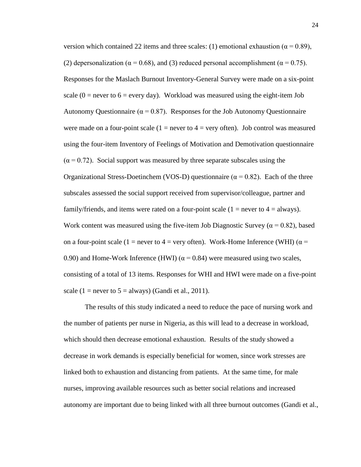version which contained 22 items and three scales: (1) emotional exhaustion ( $\alpha = 0.89$ ), (2) depersonalization ( $\alpha$  = 0.68), and (3) reduced personal accomplishment ( $\alpha$  = 0.75). Responses for the Maslach Burnout Inventory-General Survey were made on a six-point scale  $(0 =$  never to  $6 =$  every day). Workload was measured using the eight-item Job Autonomy Questionnaire ( $\alpha$  = 0.87). Responses for the Job Autonomy Questionnaire were made on a four-point scale  $(1 =$  never to  $4 =$  very often). Job control was measured using the four-item Inventory of Feelings of Motivation and Demotivation questionnaire  $(\alpha = 0.72)$ . Social support was measured by three separate subscales using the Organizational Stress-Doetinchem (VOS-D) questionnaire ( $\alpha = 0.82$ ). Each of the three subscales assessed the social support received from supervisor/colleague, partner and family/friends, and items were rated on a four-point scale  $(1 =$  never to  $4 =$  always). Work content was measured using the five-item Job Diagnostic Survey ( $\alpha$  = 0.82), based on a four-point scale (1 = never to 4 = very often). Work-Home Inference (WHI) ( $\alpha$  = 0.90) and Home-Work Inference (HWI) ( $\alpha$  = 0.84) were measured using two scales, consisting of a total of 13 items. Responses for WHI and HWI were made on a five-point scale (1 = never to  $5 =$  always) (Gandi et al., 2011).

The results of this study indicated a need to reduce the pace of nursing work and the number of patients per nurse in Nigeria, as this will lead to a decrease in workload, which should then decrease emotional exhaustion. Results of the study showed a decrease in work demands is especially beneficial for women, since work stresses are linked both to exhaustion and distancing from patients. At the same time, for male nurses, improving available resources such as better social relations and increased autonomy are important due to being linked with all three burnout outcomes (Gandi et al.,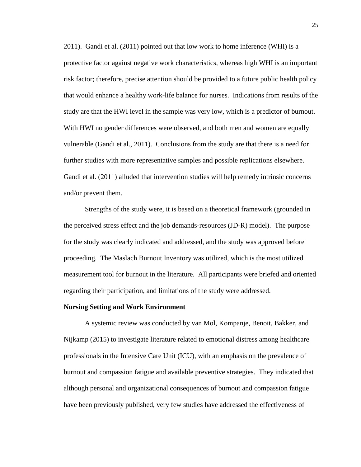2011). Gandi et al. (2011) pointed out that low work to home inference (WHI) is a protective factor against negative work characteristics, whereas high WHI is an important risk factor; therefore, precise attention should be provided to a future public health policy that would enhance a healthy work-life balance for nurses. Indications from results of the study are that the HWI level in the sample was very low, which is a predictor of burnout. With HWI no gender differences were observed, and both men and women are equally vulnerable (Gandi et al., 2011). Conclusions from the study are that there is a need for further studies with more representative samples and possible replications elsewhere. Gandi et al. (2011) alluded that intervention studies will help remedy intrinsic concerns and/or prevent them.

Strengths of the study were, it is based on a theoretical framework (grounded in the perceived stress effect and the job demands-resources (JD-R) model). The purpose for the study was clearly indicated and addressed, and the study was approved before proceeding. The Maslach Burnout Inventory was utilized, which is the most utilized measurement tool for burnout in the literature. All participants were briefed and oriented regarding their participation, and limitations of the study were addressed.

#### **Nursing Setting and Work Environment**

A systemic review was conducted by van Mol, Kompanje, Benoit, Bakker, and Nijkamp (2015) to investigate literature related to emotional distress among healthcare professionals in the Intensive Care Unit (ICU), with an emphasis on the prevalence of burnout and compassion fatigue and available preventive strategies. They indicated that although personal and organizational consequences of burnout and compassion fatigue have been previously published, very few studies have addressed the effectiveness of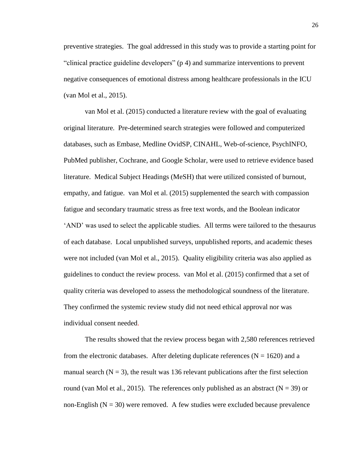preventive strategies. The goal addressed in this study was to provide a starting point for "clinical practice guideline developers" (p 4) and summarize interventions to prevent negative consequences of emotional distress among healthcare professionals in the ICU (van Mol et al., 2015).

van Mol et al. (2015) conducted a literature review with the goal of evaluating original literature. Pre-determined search strategies were followed and computerized databases, such as Embase, Medline OvidSP, CINAHL, Web-of-science, PsychINFO, PubMed publisher, Cochrane, and Google Scholar, were used to retrieve evidence based literature. Medical Subject Headings (MeSH) that were utilized consisted of burnout, empathy, and fatigue. van Mol et al. (2015) supplemented the search with compassion fatigue and secondary traumatic stress as free text words, and the Boolean indicator 'AND' was used to select the applicable studies. All terms were tailored to the thesaurus of each database. Local unpublished surveys, unpublished reports, and academic theses were not included (van Mol et al., 2015). Quality eligibility criteria was also applied as guidelines to conduct the review process. van Mol et al. (2015) confirmed that a set of quality criteria was developed to assess the methodological soundness of the literature. They confirmed the systemic review study did not need ethical approval nor was individual consent needed.

The results showed that the review process began with 2,580 references retrieved from the electronic databases. After deleting duplicate references ( $N = 1620$ ) and a manual search  $(N = 3)$ , the result was 136 relevant publications after the first selection round (van Mol et al., 2015). The references only published as an abstract ( $N = 39$ ) or non-English  $(N = 30)$  were removed. A few studies were excluded because prevalence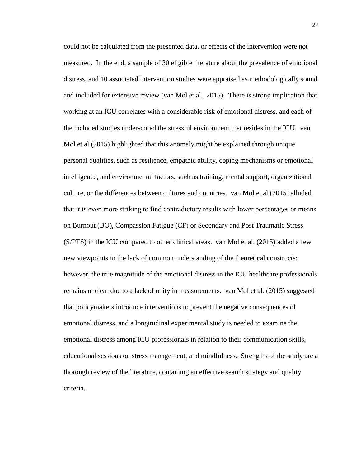could not be calculated from the presented data, or effects of the intervention were not measured. In the end, a sample of 30 eligible literature about the prevalence of emotional distress, and 10 associated intervention studies were appraised as methodologically sound and included for extensive review (van Mol et al., 2015). There is strong implication that working at an ICU correlates with a considerable risk of emotional distress, and each of the included studies underscored the stressful environment that resides in the ICU. van Mol et al (2015) highlighted that this anomaly might be explained through unique personal qualities, such as resilience, empathic ability, coping mechanisms or emotional intelligence, and environmental factors, such as training, mental support, organizational culture, or the differences between cultures and countries. van Mol et al (2015) alluded that it is even more striking to find contradictory results with lower percentages or means on Burnout (BO), Compassion Fatigue (CF) or Secondary and Post Traumatic Stress (S/PTS) in the ICU compared to other clinical areas. van Mol et al. (2015) added a few new viewpoints in the lack of common understanding of the theoretical constructs; however, the true magnitude of the emotional distress in the ICU healthcare professionals remains unclear due to a lack of unity in measurements. van Mol et al. (2015) suggested that policymakers introduce interventions to prevent the negative consequences of emotional distress, and a longitudinal experimental study is needed to examine the emotional distress among ICU professionals in relation to their communication skills, educational sessions on stress management, and mindfulness. Strengths of the study are a thorough review of the literature, containing an effective search strategy and quality criteria.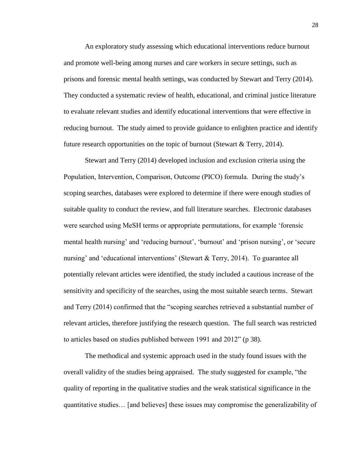An exploratory study assessing which educational interventions reduce burnout and promote well-being among nurses and care workers in secure settings, such as prisons and forensic mental health settings, was conducted by Stewart and Terry (2014). They conducted a systematic review of health, educational, and criminal justice literature to evaluate relevant studies and identify educational interventions that were effective in reducing burnout. The study aimed to provide guidance to enlighten practice and identify future research opportunities on the topic of burnout (Stewart & Terry, 2014).

Stewart and Terry (2014) developed inclusion and exclusion criteria using the Population, Intervention, Comparison, Outcome (PICO) formula. During the study's scoping searches, databases were explored to determine if there were enough studies of suitable quality to conduct the review, and full literature searches. Electronic databases were searched using MeSH terms or appropriate permutations, for example 'forensic mental health nursing' and 'reducing burnout', 'burnout' and 'prison nursing', or 'secure nursing' and 'educational interventions' (Stewart & Terry, 2014). To guarantee all potentially relevant articles were identified, the study included a cautious increase of the sensitivity and specificity of the searches, using the most suitable search terms. Stewart and Terry (2014) confirmed that the "scoping searches retrieved a substantial number of relevant articles, therefore justifying the research question. The full search was restricted to articles based on studies published between 1991 and 2012" (p 38).

The methodical and systemic approach used in the study found issues with the overall validity of the studies being appraised. The study suggested for example, "the quality of reporting in the qualitative studies and the weak statistical significance in the quantitative studies… [and believes] these issues may compromise the generalizability of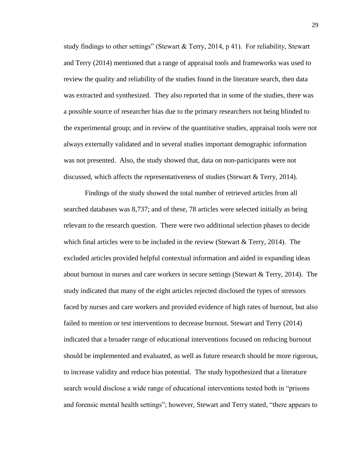study findings to other settings" (Stewart  $\&$  Terry, 2014, p 41). For reliability, Stewart and Terry (2014) mentioned that a range of appraisal tools and frameworks was used to review the quality and reliability of the studies found in the literature search, then data was extracted and synthesized. They also reported that in some of the studies, there was a possible source of researcher bias due to the primary researchers not being blinded to the experimental group; and in review of the quantitative studies, appraisal tools were not always externally validated and in several studies important demographic information was not presented. Also, the study showed that, data on non-participants were not discussed, which affects the representativeness of studies (Stewart & Terry, 2014).

Findings of the study showed the total number of retrieved articles from all searched databases was 8,737; and of these, 78 articles were selected initially as being relevant to the research question. There were two additional selection phases to decide which final articles were to be included in the review (Stewart & Terry, 2014). The excluded articles provided helpful contextual information and aided in expanding ideas about burnout in nurses and care workers in secure settings (Stewart & Terry, 2014). The study indicated that many of the eight articles rejected disclosed the types of stressors faced by nurses and care workers and provided evidence of high rates of burnout, but also failed to mention or test interventions to decrease burnout. Stewart and Terry (2014) indicated that a broader range of educational interventions focused on reducing burnout should be implemented and evaluated, as well as future research should be more rigorous, to increase validity and reduce bias potential. The study hypothesized that a literature search would disclose a wide range of educational interventions tested both in "prisons and forensic mental health settings"; however, Stewart and Terry stated, "there appears to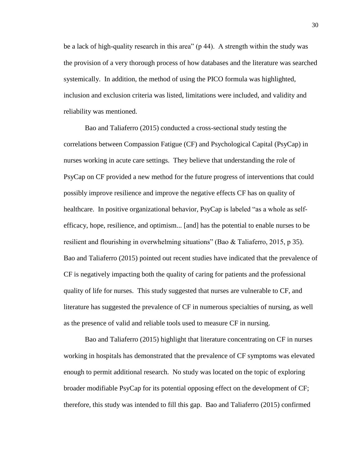be a lack of high-quality research in this area" (p 44). A strength within the study was the provision of a very thorough process of how databases and the literature was searched systemically. In addition, the method of using the PICO formula was highlighted, inclusion and exclusion criteria was listed, limitations were included, and validity and reliability was mentioned.

Bao and Taliaferro (2015) conducted a cross-sectional study testing the correlations between Compassion Fatigue (CF) and Psychological Capital (PsyCap) in nurses working in acute care settings. They believe that understanding the role of PsyCap on CF provided a new method for the future progress of interventions that could possibly improve resilience and improve the negative effects CF has on quality of healthcare. In positive organizational behavior, PsyCap is labeled "as a whole as selfefficacy, hope, resilience, and optimism... [and] has the potential to enable nurses to be resilient and flourishing in overwhelming situations" (Bao & Taliaferro, 2015, p 35). Bao and Taliaferro (2015) pointed out recent studies have indicated that the prevalence of CF is negatively impacting both the quality of caring for patients and the professional quality of life for nurses. This study suggested that nurses are vulnerable to CF, and literature has suggested the prevalence of CF in numerous specialties of nursing, as well as the presence of valid and reliable tools used to measure CF in nursing.

Bao and Taliaferro (2015) highlight that literature concentrating on CF in nurses working in hospitals has demonstrated that the prevalence of CF symptoms was elevated enough to permit additional research. No study was located on the topic of exploring broader modifiable PsyCap for its potential opposing effect on the development of CF; therefore, this study was intended to fill this gap. Bao and Taliaferro (2015) confirmed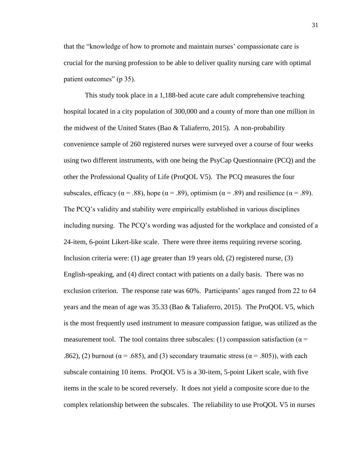that the "knowledge of how to promote and maintain nurses' compassionate care is crucial for the nursing profession to be able to deliver quality nursing care with optimal patient outcomes" (p 35).

This study took place in a 1,188-bed acute care adult comprehensive teaching hospital located in a city population of 300,000 and a county of more than one million in the midwest of the United States (Bao & Taliaferro, 2015). A non-probability convenience sample of 260 registered nurses were surveyed over a course of four weeks using two different instruments, with one being the PsyCap Questionnaire (PCQ) and the other the Professional Quality of Life (ProQOL V5). The PCQ measures the four subscales, efficacy ( $\alpha$  = .88), hope ( $\alpha$  = .89), optimism ( $\alpha$  = .89) and resilience ( $\alpha$  = .89). The PCQ's validity and stability were empirically established in various disciplines including nursing. The PCQ's wording was adjusted for the workplace and consisted of a 24-item, 6-point Likert-like scale. There were three items requiring reverse scoring. Inclusion criteria were: (1) age greater than 19 years old, (2) registered nurse, (3) English-speaking, and (4) direct contact with patients on a daily basis. There was no exclusion criterion. The response rate was 60%. Participants' ages ranged from 22 to 64 years and the mean of age was 35.33 (Bao & Taliaferro, 2015). The ProQOL V5, which is the most frequently used instrument to measure compassion fatigue, was utilized as the measurement tool. The tool contains three subscales: (1) compassion satisfaction ( $\alpha$  = .862), (2) burnout ( $\alpha$  = .685), and (3) secondary traumatic stress ( $\alpha$  = .805)), with each subscale containing 10 items. ProQOL V5 is a 30-item, 5-point Likert scale, with five items in the scale to be scored reversely. It does not yield a composite score due to the complex relationship between the subscales. The reliability to use ProQOL V5 in nurses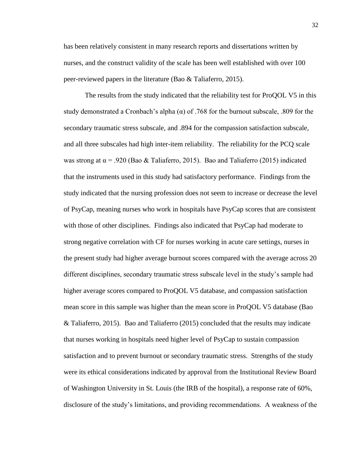has been relatively consistent in many research reports and dissertations written by nurses, and the construct validity of the scale has been well established with over 100 peer-reviewed papers in the literature (Bao & Taliaferro, 2015).

The results from the study indicated that the reliability test for ProQOL V5 in this study demonstrated a Cronbach's alpha  $(\alpha)$  of .768 for the burnout subscale, .809 for the secondary traumatic stress subscale, and .894 for the compassion satisfaction subscale, and all three subscales had high inter-item reliability. The reliability for the PCQ scale was strong at  $\alpha$  = .920 (Bao & Taliaferro, 2015). Bao and Taliaferro (2015) indicated that the instruments used in this study had satisfactory performance. Findings from the study indicated that the nursing profession does not seem to increase or decrease the level of PsyCap, meaning nurses who work in hospitals have PsyCap scores that are consistent with those of other disciplines. Findings also indicated that PsyCap had moderate to strong negative correlation with CF for nurses working in acute care settings, nurses in the present study had higher average burnout scores compared with the average across 20 different disciplines, secondary traumatic stress subscale level in the study's sample had higher average scores compared to ProQOL V5 database, and compassion satisfaction mean score in this sample was higher than the mean score in ProQOL V5 database (Bao & Taliaferro, 2015). Bao and Taliaferro (2015) concluded that the results may indicate that nurses working in hospitals need higher level of PsyCap to sustain compassion satisfaction and to prevent burnout or secondary traumatic stress. Strengths of the study were its ethical considerations indicated by approval from the Institutional Review Board of Washington University in St. Louis (the IRB of the hospital), a response rate of 60%, disclosure of the study's limitations, and providing recommendations. A weakness of the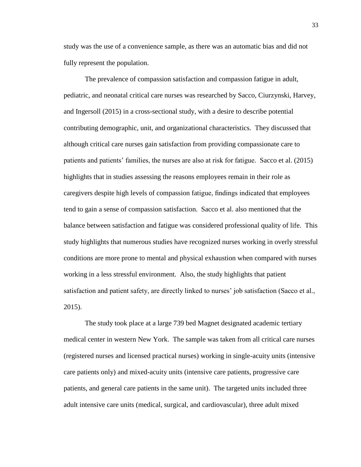study was the use of a convenience sample, as there was an automatic bias and did not fully represent the population.

The prevalence of compassion satisfaction and compassion fatigue in adult, pediatric, and neonatal critical care nurses was researched by Sacco, Ciurzynski, Harvey, and Ingersoll (2015) in a cross-sectional study, with a desire to describe potential contributing demographic, unit, and organizational characteristics. They discussed that although critical care nurses gain satisfaction from providing compassionate care to patients and patients' families, the nurses are also at risk for fatigue. Sacco et al. (2015) highlights that in studies assessing the reasons employees remain in their role as caregivers despite high levels of compassion fatigue, findings indicated that employees tend to gain a sense of compassion satisfaction. Sacco et al. also mentioned that the balance between satisfaction and fatigue was considered professional quality of life. This study highlights that numerous studies have recognized nurses working in overly stressful conditions are more prone to mental and physical exhaustion when compared with nurses working in a less stressful environment. Also, the study highlights that patient satisfaction and patient safety, are directly linked to nurses' job satisfaction (Sacco et al., 2015).

The study took place at a large 739 bed Magnet designated academic tertiary medical center in western New York. The sample was taken from all critical care nurses (registered nurses and licensed practical nurses) working in single-acuity units (intensive care patients only) and mixed-acuity units (intensive care patients, progressive care patients, and general care patients in the same unit). The targeted units included three adult intensive care units (medical, surgical, and cardiovascular), three adult mixed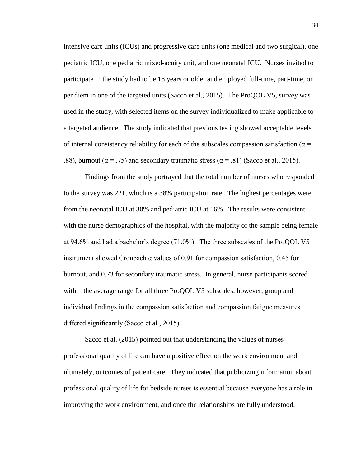intensive care units (ICUs) and progressive care units (one medical and two surgical), one pediatric ICU, one pediatric mixed-acuity unit, and one neonatal ICU. Nurses invited to participate in the study had to be 18 years or older and employed full-time, part-time, or per diem in one of the targeted units (Sacco et al., 2015). The ProQOL V5, survey was used in the study, with selected items on the survey individualized to make applicable to a targeted audience. The study indicated that previous testing showed acceptable levels of internal consistency reliability for each of the subscales compassion satisfaction ( $\alpha$  = .88), burnout ( $\alpha$  = .75) and secondary traumatic stress ( $\alpha$  = .81) (Sacco et al., 2015).

Findings from the study portrayed that the total number of nurses who responded to the survey was 221, which is a 38% participation rate. The highest percentages were from the neonatal ICU at 30% and pediatric ICU at 16%. The results were consistent with the nurse demographics of the hospital, with the majority of the sample being female at 94.6% and had a bachelor's degree (71.0%). The three subscales of the ProQOL V5 instrument showed Cronbach  $\alpha$  values of 0.91 for compassion satisfaction, 0.45 for burnout, and 0.73 for secondary traumatic stress. In general, nurse participants scored within the average range for all three ProQOL V5 subscales; however, group and individual findings in the compassion satisfaction and compassion fatigue measures differed significantly (Sacco et al., 2015).

Sacco et al. (2015) pointed out that understanding the values of nurses' professional quality of life can have a positive effect on the work environment and, ultimately, outcomes of patient care. They indicated that publicizing information about professional quality of life for bedside nurses is essential because everyone has a role in improving the work environment, and once the relationships are fully understood,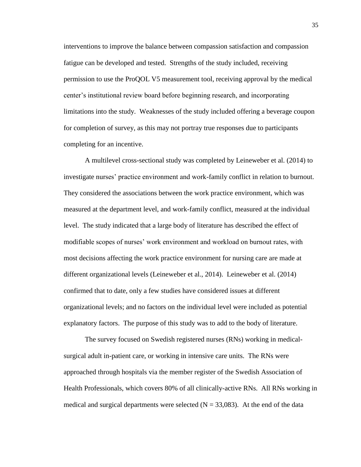interventions to improve the balance between compassion satisfaction and compassion fatigue can be developed and tested. Strengths of the study included, receiving permission to use the ProQOL V5 measurement tool, receiving approval by the medical center's institutional review board before beginning research, and incorporating limitations into the study. Weaknesses of the study included offering a beverage coupon for completion of survey, as this may not portray true responses due to participants completing for an incentive.

A multilevel cross-sectional study was completed by Leineweber et al. (2014) to investigate nurses' practice environment and work-family conflict in relation to burnout. They considered the associations between the work practice environment, which was measured at the department level, and work-family conflict, measured at the individual level. The study indicated that a large body of literature has described the effect of modifiable scopes of nurses' work environment and workload on burnout rates, with most decisions affecting the work practice environment for nursing care are made at different organizational levels (Leineweber et al., 2014). Leineweber et al. (2014) confirmed that to date, only a few studies have considered issues at different organizational levels; and no factors on the individual level were included as potential explanatory factors. The purpose of this study was to add to the body of literature.

The survey focused on Swedish registered nurses (RNs) working in medicalsurgical adult in-patient care, or working in intensive care units. The RNs were approached through hospitals via the member register of the Swedish Association of Health Professionals, which covers 80% of all clinically-active RNs. All RNs working in medical and surgical departments were selected ( $N = 33,083$ ). At the end of the data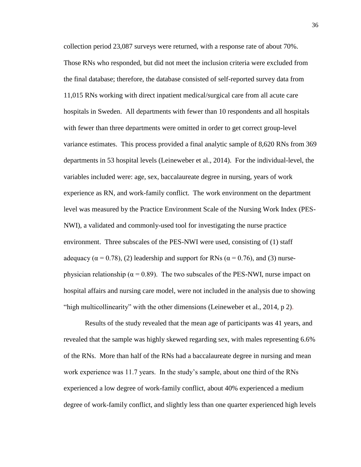collection period 23,087 surveys were returned, with a response rate of about 70%. Those RNs who responded, but did not meet the inclusion criteria were excluded from the final database; therefore, the database consisted of self-reported survey data from 11,015 RNs working with direct inpatient medical/surgical care from all acute care hospitals in Sweden. All departments with fewer than 10 respondents and all hospitals with fewer than three departments were omitted in order to get correct group-level variance estimates. This process provided a final analytic sample of 8,620 RNs from 369 departments in 53 hospital levels (Leineweber et al., 2014). For the individual-level, the variables included were: age, sex, baccalaureate degree in nursing, years of work experience as RN, and work-family conflict. The work environment on the department level was measured by the Practice Environment Scale of the Nursing Work Index (PES-NWI), a validated and commonly-used tool for investigating the nurse practice environment. Three subscales of the PES-NWI were used, consisting of (1) staff adequacy ( $\alpha = 0.78$ ), (2) leadership and support for RNs ( $\alpha = 0.76$ ), and (3) nursephysician relationship ( $\alpha = 0.89$ ). The two subscales of the PES-NWI, nurse impact on hospital affairs and nursing care model, were not included in the analysis due to showing "high multicollinearity" with the other dimensions (Leineweber et al., 2014, p 2).

Results of the study revealed that the mean age of participants was 41 years, and revealed that the sample was highly skewed regarding sex, with males representing 6.6% of the RNs. More than half of the RNs had a baccalaureate degree in nursing and mean work experience was 11.7 years. In the study's sample, about one third of the RNs experienced a low degree of work-family conflict, about 40% experienced a medium degree of work-family conflict, and slightly less than one quarter experienced high levels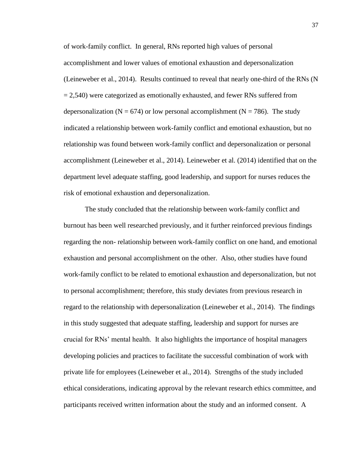of work-family conflict. In general, RNs reported high values of personal accomplishment and lower values of emotional exhaustion and depersonalization (Leineweber et al., 2014). Results continued to reveal that nearly one-third of the RNs (N  $= 2,540$ ) were categorized as emotionally exhausted, and fewer RNs suffered from depersonalization ( $N = 674$ ) or low personal accomplishment ( $N = 786$ ). The study indicated a relationship between work-family conflict and emotional exhaustion, but no relationship was found between work-family conflict and depersonalization or personal accomplishment (Leineweber et al., 2014). Leineweber et al. (2014) identified that on the department level adequate staffing, good leadership, and support for nurses reduces the risk of emotional exhaustion and depersonalization.

The study concluded that the relationship between work-family conflict and burnout has been well researched previously, and it further reinforced previous findings regarding the non- relationship between work-family conflict on one hand, and emotional exhaustion and personal accomplishment on the other. Also, other studies have found work-family conflict to be related to emotional exhaustion and depersonalization, but not to personal accomplishment; therefore, this study deviates from previous research in regard to the relationship with depersonalization (Leineweber et al., 2014). The findings in this study suggested that adequate staffing, leadership and support for nurses are crucial for RNs' mental health. It also highlights the importance of hospital managers developing policies and practices to facilitate the successful combination of work with private life for employees (Leineweber et al., 2014). Strengths of the study included ethical considerations, indicating approval by the relevant research ethics committee, and participants received written information about the study and an informed consent. A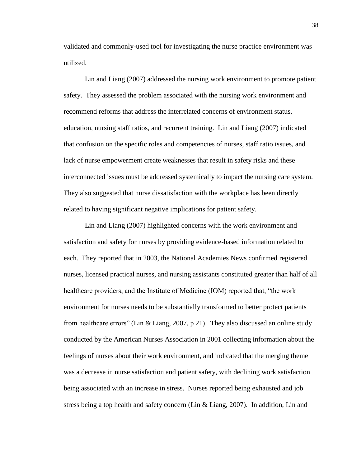validated and commonly-used tool for investigating the nurse practice environment was utilized.

[Lin and L](https://search-proquest-com.ezproxy.gardner-webb.edu/nahs/indexinglinkhandler/sng/au/Lin,+Laura/$N?accountid=11041)iang (2007) addressed the nursing work environment to promote patient safety. They assessed the problem associated with the nursing work environment and recommend reforms that address the interrelated concerns of environment status, education, nursing staff ratios, and recurrent training. [Lin and L](https://search-proquest-com.ezproxy.gardner-webb.edu/nahs/indexinglinkhandler/sng/au/Lin,+Laura/$N?accountid=11041)iang (2007) indicated that confusion on the specific roles and competencies of nurses, staff ratio issues, and lack of nurse empowerment create weaknesses that result in safety risks and these interconnected issues must be addressed systemically to impact the nursing care system. They also suggested that nurse dissatisfaction with the workplace has been directly related to having significant negative implications for patient safety.

Lin and Liang (2007) highlighted concerns with the work environment and satisfaction and safety for nurses by providing evidence-based information related to each. They reported that in 2003, the National Academies News confirmed registered nurses, licensed practical nurses, and nursing assistants constituted greater than half of all healthcare providers, and the Institute of Medicine (IOM) reported that, "the work environment for nurses needs to be substantially transformed to better protect patients from healthcare errors" [\(Lin &](https://search-proquest-com.ezproxy.gardner-webb.edu/nahs/indexinglinkhandler/sng/au/Lin,+Laura/$N?accountid=11041) Liang, 2007, p 21). They also discussed an online study conducted by the American Nurses Association in 2001 collecting information about the feelings of nurses about their work environment, and indicated that the merging theme was a decrease in nurse satisfaction and patient safety, with declining work satisfaction being associated with an increase in stress. Nurses reported being exhausted and job stress being a top health and safety concern [\(Lin &](https://search-proquest-com.ezproxy.gardner-webb.edu/nahs/indexinglinkhandler/sng/au/Lin,+Laura/$N?accountid=11041) Liang, 2007). In addition, [Lin and](https://search-proquest-com.ezproxy.gardner-webb.edu/nahs/indexinglinkhandler/sng/au/Lin,+Laura/$N?accountid=11041)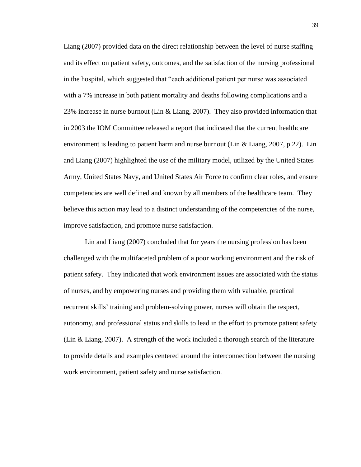Liang (2007) provided data on the direct relationship between the level of nurse staffing and its effect on patient safety, outcomes, and the satisfaction of the nursing professional in the hospital, which suggested that "each additional patient per nurse was associated with a 7% increase in both patient mortality and deaths following complications and a 23% increase in nurse burnout [\(Lin & L](https://search-proquest-com.ezproxy.gardner-webb.edu/nahs/indexinglinkhandler/sng/au/Lin,+Laura/$N?accountid=11041)iang, 2007). They also provided information that in 2003 the IOM Committee released a report that indicated that the current healthcare environment is leading to patient harm and nurse burnout [\(Lin &](https://search-proquest-com.ezproxy.gardner-webb.edu/nahs/indexinglinkhandler/sng/au/Lin,+Laura/$N?accountid=11041) Liang, 2007, p 22). Lin and Liang (2007) highlighted the use of the military model, utilized by the United States Army, United States Navy, and United States Air Force to confirm clear roles, and ensure competencies are well defined and known by all members of the healthcare team. They believe this action may lead to a distinct understanding of the competencies of the nurse, improve satisfaction, and promote nurse satisfaction.

Lin and Liang (2007) concluded that for years the nursing profession has been challenged with the multifaceted problem of a poor working environment and the risk of patient safety. They indicated that work environment issues are associated with the status of nurses, and by empowering nurses and providing them with valuable, practical recurrent skills' training and problem-solving power, nurses will obtain the respect, autonomy, and professional status and skills to lead in the effort to promote patient safety (Lin & Liang, 2007). A strength of the work included a thorough search of the literature to provide details and examples centered around the interconnection between the nursing work environment, patient safety and nurse satisfaction.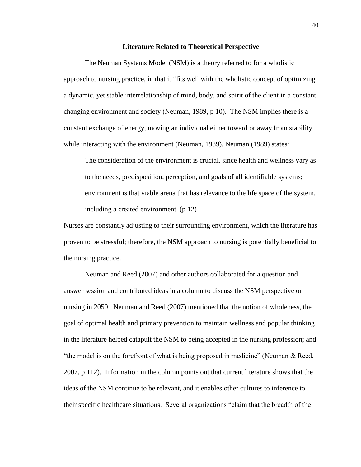#### **Literature Related to Theoretical Perspective**

The Neuman Systems Model (NSM) is a theory referred to for a wholistic approach to nursing practice, in that it "fits well with the wholistic concept of optimizing a dynamic, yet stable interrelationship of mind, body, and spirit of the client in a constant changing environment and society (Neuman, 1989, p 10). The NSM implies there is a constant exchange of energy, moving an individual either toward or away from stability while interacting with the environment (Neuman, 1989). Neuman (1989) states:

The consideration of the environment is crucial, since health and wellness vary as to the needs, predisposition, perception, and goals of all identifiable systems; environment is that viable arena that has relevance to the life space of the system, including a created environment. (p 12)

Nurses are constantly adjusting to their surrounding environment, which the literature has proven to be stressful; therefore, the NSM approach to nursing is potentially beneficial to the nursing practice.

Neuman and Reed (2007) and other authors collaborated for a question and answer session and contributed ideas in a column to discuss the NSM perspective on nursing in 2050. Neuman and Reed (2007) mentioned that the notion of wholeness, the goal of optimal health and primary prevention to maintain wellness and popular thinking in the literature helped catapult the NSM to being accepted in the nursing profession; and "the model is on the forefront of what is being proposed in medicine" (Neuman & Reed, 2007, p 112). Information in the column points out that current literature shows that the ideas of the NSM continue to be relevant, and it enables other cultures to inference to their specific healthcare situations. Several organizations "claim that the breadth of the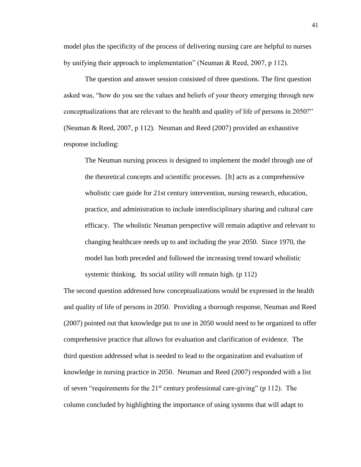model plus the specificity of the process of delivering nursing care are helpful to nurses by unifying their approach to implementation" (Neuman & Reed, 2007, p 112).

The question and answer session consisted of three questions. The first question asked was, "how do you see the values and beliefs of your theory emerging through new conceptualizations that are relevant to the health and quality of life of persons in 2050?" (Neuman & Reed, 2007, p 112). Neuman and Reed (2007) provided an exhaustive response including:

The Neuman nursing process is designed to implement the model through use of the theoretical concepts and scientific processes. [It] acts as a comprehensive wholistic care guide for 21st century intervention, nursing research, education, practice, and administration to include interdisciplinary sharing and cultural care efficacy. The wholistic Neuman perspective will remain adaptive and relevant to changing healthcare needs up to and including the year 2050. Since 1970, the model has both preceded and followed the increasing trend toward wholistic systemic thinking. Its social utility will remain high. (p 112)

The second question addressed how conceptualizations would be expressed in the health and quality of life of persons in 2050. Providing a thorough response, Neuman and Reed (2007) pointed out that knowledge put to use in 2050 would need to be organized to offer comprehensive practice that allows for evaluation and clarification of evidence. The third question addressed what is needed to lead to the organization and evaluation of knowledge in nursing practice in 2050. Neuman and Reed (2007) responded with a list of seven "requirements for the  $21<sup>st</sup>$  century professional care-giving" (p 112). The column concluded by highlighting the importance of using systems that will adapt to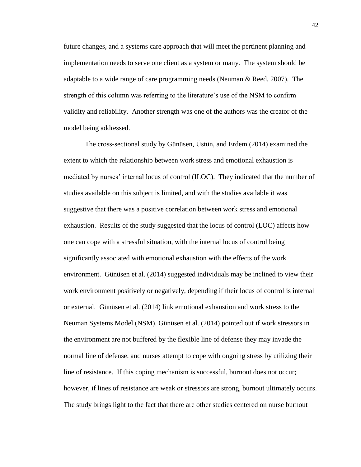future changes, and a systems care approach that will meet the pertinent planning and implementation needs to serve one client as a system or many. The system should be adaptable to a wide range of care programming needs (Neuman & Reed, 2007). The strength of this column was referring to the literature's use of the NSM to confirm validity and reliability. Another strength was one of the authors was the creator of the model being addressed.

The cross-sectional study by Günüsen, Üstün, and Erdem (2014) examined the extent to which the relationship between work stress and emotional exhaustion is mediated by nurses' internal locus of control (ILOC). They indicated that the number of studies available on this subject is limited, and with the studies available it was suggestive that there was a positive correlation between work stress and emotional exhaustion. Results of the study suggested that the locus of control (LOC) affects how one can cope with a stressful situation, with the internal locus of control being significantly associated with emotional exhaustion with the effects of the work environment. Günüsen et al. (2014) suggested individuals may be inclined to view their work environment positively or negatively, depending if their locus of control is internal or external. Günüsen et al. (2014) link emotional exhaustion and work stress to the Neuman Systems Model (NSM). Günüsen et al. (2014) pointed out if work stressors in the environment are not buffered by the flexible line of defense they may invade the normal line of defense, and nurses attempt to cope with ongoing stress by utilizing their line of resistance. If this coping mechanism is successful, burnout does not occur; however, if lines of resistance are weak or stressors are strong, burnout ultimately occurs. The study brings light to the fact that there are other studies centered on nurse burnout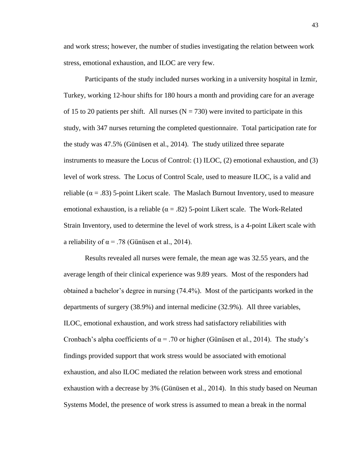and work stress; however, the number of studies investigating the relation between work stress, emotional exhaustion, and ILOC are very few.

Participants of the study included nurses working in a university hospital in Izmir, Turkey, working 12-hour shifts for 180 hours a month and providing care for an average of 15 to 20 patients per shift. All nurses  $(N = 730)$  were invited to participate in this study, with 347 nurses returning the completed questionnaire. Total participation rate for the study was 47.5% (Günüsen et al., 2014). The study utilized three separate instruments to measure the Locus of Control: (1) ILOC, (2) emotional exhaustion, and (3) level of work stress. The Locus of Control Scale, used to measure ILOC, is a valid and reliable ( $\alpha = .83$ ) 5-point Likert scale. The Maslach Burnout Inventory, used to measure emotional exhaustion, is a reliable ( $\alpha = .82$ ) 5-point Likert scale. The Work-Related Strain Inventory, used to determine the level of work stress, is a 4-point Likert scale with a reliability of  $\alpha$  = .78 (Günüsen et al., 2014).

Results revealed all nurses were female, the mean age was 32.55 years, and the average length of their clinical experience was 9.89 years. Most of the responders had obtained a bachelor's degree in nursing (74.4%). Most of the participants worked in the departments of surgery (38.9%) and internal medicine (32.9%). All three variables, ILOC, emotional exhaustion, and work stress had satisfactory reliabilities with Cronbach's alpha coefficients of  $\alpha$  = .70 or higher (Günüsen et al., 2014). The study's findings provided support that work stress would be associated with emotional exhaustion, and also ILOC mediated the relation between work stress and emotional exhaustion with a decrease by 3% (Günüsen et al., 2014). In this study based on Neuman Systems Model, the presence of work stress is assumed to mean a break in the normal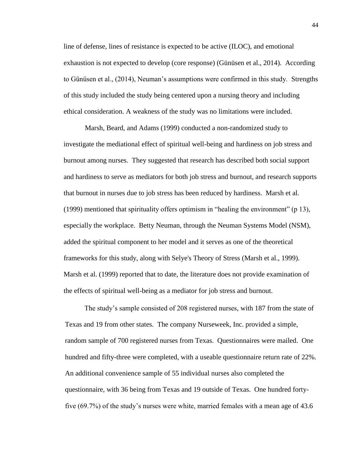line of defense, lines of resistance is expected to be active (ILOC), and emotional exhaustion is not expected to develop (core response) (Günüsen et al., 2014). According to Günüsen et al., (2014), Neuman's assumptions were confirmed in this study. Strengths of this study included the study being centered upon a nursing theory and including ethical consideration. A weakness of the study was no limitations were included.

Marsh, Beard, and Adams (1999) conducted a non-randomized study to investigate the mediational effect of spiritual well-being and hardiness on job stress and burnout among nurses. They suggested that research has described both social support and hardiness to serve as mediators for both job stress and burnout, and research supports that burnout in nurses due to job stress has been reduced by hardiness. Marsh et al. (1999) mentioned that spirituality offers optimism in "healing the environment" (p 13), especially the workplace. Betty Neuman, through the Neuman Systems Model (NSM), added the spiritual component to her model and it serves as one of the theoretical frameworks for this study, along with Selye's Theory of Stress (Marsh et al., 1999). Marsh et al. (1999) reported that to date, the literature does not provide examination of the effects of spiritual well-being as a mediator for job stress and burnout.

 The study's sample consisted of 208 registered nurses, with 187 from the state of Texas and 19 from other states. The company Nurseweek, Inc. provided a simple, random sample of 700 registered nurses from Texas. Questionnaires were mailed. One hundred and fifty-three were completed, with a useable questionnaire return rate of 22%. An additional convenience sample of 55 individual nurses also completed the questionnaire, with 36 being from Texas and 19 outside of Texas. One hundred fortyfive (69.7%) of the study's nurses were white, married females with a mean age of 43.6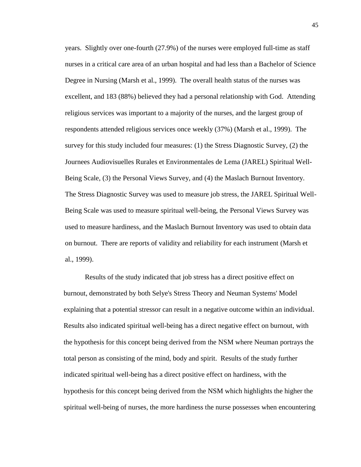years. Slightly over one-fourth (27.9%) of the nurses were employed full-time as staff nurses in a critical care area of an urban hospital and had less than a Bachelor of Science Degree in Nursing (Marsh et al., 1999). The overall health status of the nurses was excellent, and 183 (88%) believed they had a personal relationship with God. Attending religious services was important to a majority of the nurses, and the largest group of respondents attended religious services once weekly (37%) (Marsh et al., 1999). The survey for this study included four measures: (1) the Stress Diagnostic Survey, (2) the Journees Audiovisuelles Rurales et Environmentales de Lema (JAREL) Spiritual Well-Being Scale, (3) the Personal Views Survey, and (4) the Maslach Burnout Inventory. The Stress Diagnostic Survey was used to measure job stress, the JAREL Spiritual Well-Being Scale was used to measure spiritual well-being, the Personal Views Survey was used to measure hardiness, and the Maslach Burnout Inventory was used to obtain data on burnout. There are reports of validity and reliability for each instrument (Marsh et al., 1999).

Results of the study indicated that job stress has a direct positive effect on burnout, demonstrated by both Selye's Stress Theory and Neuman Systems' Model explaining that a potential stressor can result in a negative outcome within an individual. Results also indicated spiritual well-being has a direct negative effect on burnout, with the hypothesis for this concept being derived from the NSM where Neuman portrays the total person as consisting of the mind, body and spirit. Results of the study further indicated spiritual well-being has a direct positive effect on hardiness, with the hypothesis for this concept being derived from the NSM which highlights the higher the spiritual well-being of nurses, the more hardiness the nurse possesses when encountering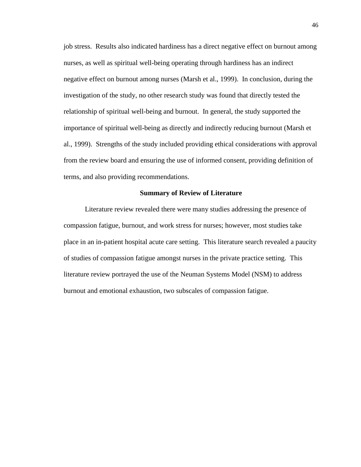job stress. Results also indicated hardiness has a direct negative effect on burnout among nurses, as well as spiritual well-being operating through hardiness has an indirect negative effect on burnout among nurses (Marsh et al., 1999). In conclusion, during the investigation of the study, no other research study was found that directly tested the relationship of spiritual well-being and burnout. In general, the study supported the importance of spiritual well-being as directly and indirectly reducing burnout (Marsh et al., 1999). Strengths of the study included providing ethical considerations with approval from the review board and ensuring the use of informed consent, providing definition of terms, and also providing recommendations.

# **Summary of Review of Literature**

Literature review revealed there were many studies addressing the presence of compassion fatigue, burnout, and work stress for nurses; however, most studies take place in an in-patient hospital acute care setting. This literature search revealed a paucity of studies of compassion fatigue amongst nurses in the private practice setting. This literature review portrayed the use of the Neuman Systems Model (NSM) to address burnout and emotional exhaustion, two subscales of compassion fatigue.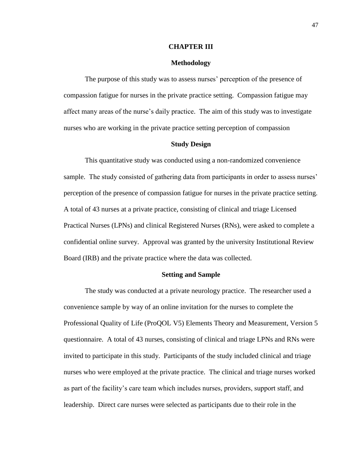# **CHAPTER III**

# **Methodology**

The purpose of this study was to assess nurses' perception of the presence of compassion fatigue for nurses in the private practice setting. Compassion fatigue may affect many areas of the nurse's daily practice. The aim of this study was to investigate nurses who are working in the private practice setting perception of compassion

# **Study Design**

This quantitative study was conducted using a non-randomized convenience sample. The study consisted of gathering data from participants in order to assess nurses' perception of the presence of compassion fatigue for nurses in the private practice setting. A total of 43 nurses at a private practice, consisting of clinical and triage Licensed Practical Nurses (LPNs) and clinical Registered Nurses (RNs), were asked to complete a confidential online survey. Approval was granted by the university Institutional Review Board (IRB) and the private practice where the data was collected.

# **Setting and Sample**

The study was conducted at a private neurology practice. The researcher used a convenience sample by way of an online invitation for the nurses to complete the Professional Quality of Life (ProQOL V5) Elements Theory and Measurement, Version 5 questionnaire. A total of 43 nurses, consisting of clinical and triage LPNs and RNs were invited to participate in this study. Participants of the study included clinical and triage nurses who were employed at the private practice. The clinical and triage nurses worked as part of the facility's care team which includes nurses, providers, support staff, and leadership. Direct care nurses were selected as participants due to their role in the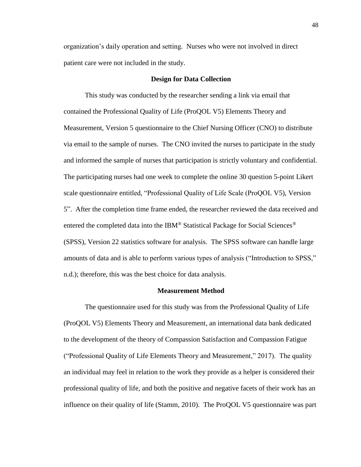organization's daily operation and setting. Nurses who were not involved in direct patient care were not included in the study.

# **Design for Data Collection**

This study was conducted by the researcher sending a link via email that contained the Professional Quality of Life (ProQOL V5) Elements Theory and Measurement, Version 5 questionnaire to the Chief Nursing Officer (CNO) to distribute via email to the sample of nurses. The CNO invited the nurses to participate in the study and informed the sample of nurses that participation is strictly voluntary and confidential. The participating nurses had one week to complete the online 30 question 5-point Likert scale questionnaire entitled, "Professional Quality of Life Scale (ProQOL V5), Version 5". After the completion time frame ended, the researcher reviewed the data received and entered the completed data into the IBM® Statistical Package for Social Sciences<sup>®</sup> (SPSS), Version 22 statistics software for analysis. The SPSS software can handle large amounts of data and is able to perform various types of analysis ("Introduction to SPSS," n.d.); therefore, this was the best choice for data analysis.

# **Measurement Method**

The questionnaire used for this study was from the Professional Quality of Life (ProQOL V5) Elements Theory and Measurement, an international data bank dedicated to the development of the theory of Compassion Satisfaction and Compassion Fatigue ("Professional Quality of Life Elements Theory and Measurement," 2017). The quality an individual may feel in relation to the work they provide as a helper is considered their professional quality of life, and both the positive and negative facets of their work has an influence on their quality of life (Stamm, 2010). The ProQOL V5 questionnaire was part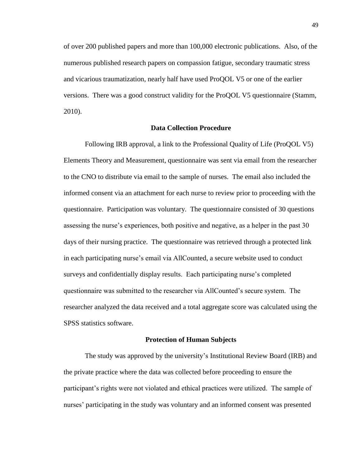of over 200 published papers and more than 100,000 electronic publications. Also, of the numerous published research papers on compassion fatigue, secondary traumatic stress and vicarious traumatization, nearly half have used ProQOL V5 or one of the earlier versions. There was a good construct validity for the ProQOL V5 questionnaire (Stamm, 2010).

# **Data Collection Procedure**

Following IRB approval, a link to the Professional Quality of Life (ProQOL V5) Elements Theory and Measurement, questionnaire was sent via email from the researcher to the CNO to distribute via email to the sample of nurses. The email also included the informed consent via an attachment for each nurse to review prior to proceeding with the questionnaire. Participation was voluntary. The questionnaire consisted of 30 questions assessing the nurse's experiences, both positive and negative, as a helper in the past 30 days of their nursing practice. The questionnaire was retrieved through a protected link in each participating nurse's email via AllCounted, a secure website used to conduct surveys and confidentially display results. Each participating nurse's completed questionnaire was submitted to the researcher via AllCounted's secure system. The researcher analyzed the data received and a total aggregate score was calculated using the SPSS statistics software.

#### **Protection of Human Subjects**

The study was approved by the university's Institutional Review Board (IRB) and the private practice where the data was collected before proceeding to ensure the participant's rights were not violated and ethical practices were utilized. The sample of nurses' participating in the study was voluntary and an informed consent was presented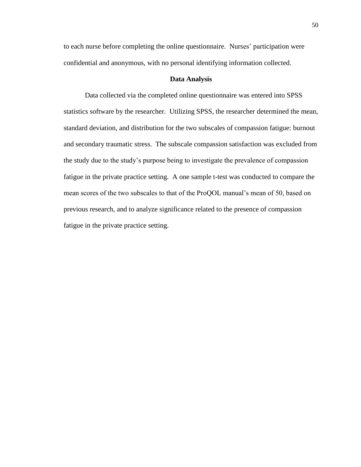to each nurse before completing the online questionnaire. Nurses' participation were confidential and anonymous, with no personal identifying information collected.

# **Data Analysis**

Data collected via the completed online questionnaire was entered into SPSS statistics software by the researcher. Utilizing SPSS, the researcher determined the mean, standard deviation, and distribution for the two subscales of compassion fatigue: burnout and secondary traumatic stress. The subscale compassion satisfaction was excluded from the study due to the study's purpose being to investigate the prevalence of compassion fatigue in the private practice setting. A one sample t-test was conducted to compare the mean scores of the two subscales to that of the ProQOL manual's mean of 50, based on previous research, and to analyze significance related to the presence of compassion fatigue in the private practice setting.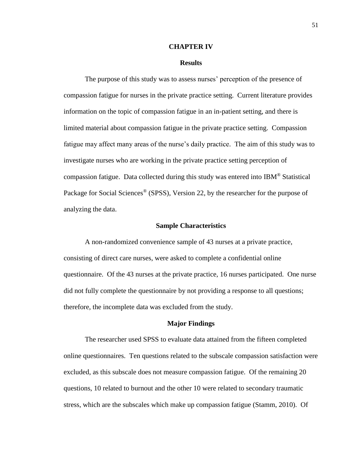#### **CHAPTER IV**

#### **Results**

The purpose of this study was to assess nurses' perception of the presence of compassion fatigue for nurses in the private practice setting. Current literature provides information on the topic of compassion fatigue in an in-patient setting, and there is limited material about compassion fatigue in the private practice setting. Compassion fatigue may affect many areas of the nurse's daily practice. The aim of this study was to investigate nurses who are working in the private practice setting perception of compassion fatigue. Data collected during this study was entered into  $IBM^{\circledR}$  Statistical Package for Social Sciences<sup>®</sup> (SPSS), Version 22, by the researcher for the purpose of analyzing the data.

#### **Sample Characteristics**

A non-randomized convenience sample of 43 nurses at a private practice, consisting of direct care nurses, were asked to complete a confidential online questionnaire. Of the 43 nurses at the private practice, 16 nurses participated. One nurse did not fully complete the questionnaire by not providing a response to all questions; therefore, the incomplete data was excluded from the study.

#### **Major Findings**

The researcher used SPSS to evaluate data attained from the fifteen completed online questionnaires. Ten questions related to the subscale compassion satisfaction were excluded, as this subscale does not measure compassion fatigue. Of the remaining 20 questions, 10 related to burnout and the other 10 were related to secondary traumatic stress, which are the subscales which make up compassion fatigue (Stamm, 2010). Of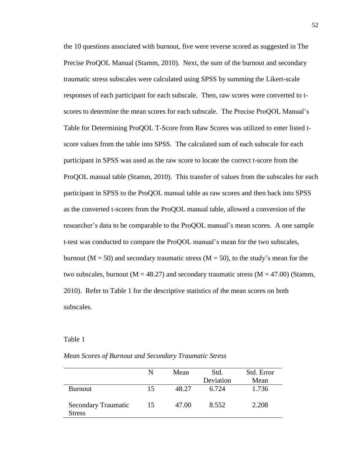the 10 questions associated with burnout, five were reverse scored as suggested in The Precise ProQOL Manual (Stamm, 2010). Next, the sum of the burnout and secondary traumatic stress subscales were calculated using SPSS by summing the Likert-scale responses of each participant for each subscale. Then, raw scores were converted to tscores to determine the mean scores for each subscale. The Precise ProQOL Manual's Table for Determining ProQOL T-Score from Raw Scores was utilized to enter listed tscore values from the table into SPSS. The calculated sum of each subscale for each participant in SPSS was used as the raw score to locate the correct t-score from the ProQOL manual table (Stamm, 2010). This transfer of values from the subscales for each participant in SPSS to the ProQOL manual table as raw scores and then back into SPSS as the converted t-scores from the ProQOL manual table, allowed a conversion of the researcher's data to be comparable to the ProQOL manual's mean scores. A one sample t-test was conducted to compare the ProQOL manual's mean for the two subscales, burnout ( $M = 50$ ) and secondary traumatic stress ( $M = 50$ ), to the study's mean for the two subscales, burnout ( $M = 48.27$ ) and secondary traumatic stress ( $M = 47.00$ ) (Stamm, 2010). Refer to Table 1 for the descriptive statistics of the mean scores on both subscales.

Table 1

|  |  | Mean Scores of Burnout and Secondary Traumatic Stress |  |  |  |
|--|--|-------------------------------------------------------|--|--|--|
|--|--|-------------------------------------------------------|--|--|--|

|                                             | N  | Mean  | Std.<br>Deviation | Std. Error<br>Mean |
|---------------------------------------------|----|-------|-------------------|--------------------|
| <b>Burnout</b>                              | 15 | 48.27 | 6.724             | 1.736              |
| <b>Secondary Traumatic</b><br><b>Stress</b> | 15 | 47.00 | 8.552             | 2.208              |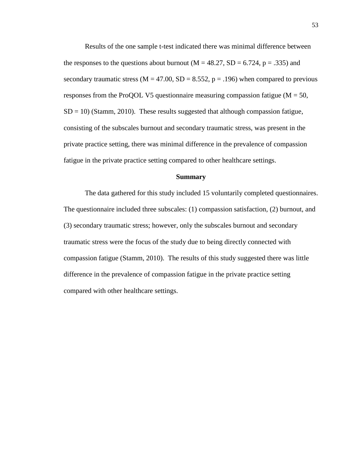Results of the one sample t-test indicated there was minimal difference between the responses to the questions about burnout ( $M = 48.27$ ,  $SD = 6.724$ ,  $p = .335$ ) and secondary traumatic stress ( $M = 47.00$ ,  $SD = 8.552$ ,  $p = .196$ ) when compared to previous responses from the ProQOL V5 questionnaire measuring compassion fatigue ( $M = 50$ ,  $SD = 10$ ) (Stamm, 2010). These results suggested that although compassion fatigue, consisting of the subscales burnout and secondary traumatic stress, was present in the private practice setting, there was minimal difference in the prevalence of compassion fatigue in the private practice setting compared to other healthcare settings.

# **Summary**

The data gathered for this study included 15 voluntarily completed questionnaires. The questionnaire included three subscales: (1) compassion satisfaction, (2) burnout, and (3) secondary traumatic stress; however, only the subscales burnout and secondary traumatic stress were the focus of the study due to being directly connected with compassion fatigue (Stamm, 2010). The results of this study suggested there was little difference in the prevalence of compassion fatigue in the private practice setting compared with other healthcare settings.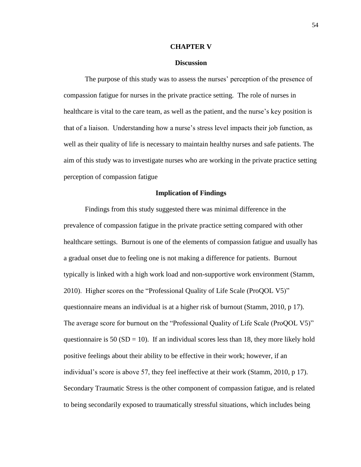#### **CHAPTER V**

# **Discussion**

The purpose of this study was to assess the nurses' perception of the presence of compassion fatigue for nurses in the private practice setting. The role of nurses in healthcare is vital to the care team, as well as the patient, and the nurse's key position is that of a liaison. Understanding how a nurse's stress level impacts their job function, as well as their quality of life is necessary to maintain healthy nurses and safe patients. The aim of this study was to investigate nurses who are working in the private practice setting perception of compassion fatigue

#### **Implication of Findings**

Findings from this study suggested there was minimal difference in the prevalence of compassion fatigue in the private practice setting compared with other healthcare settings. Burnout is one of the elements of compassion fatigue and usually has a gradual onset due to feeling one is not making a difference for patients. Burnout typically is linked with a high work load and non-supportive work environment (Stamm, 2010). Higher scores on the "Professional Quality of Life Scale (ProQOL V5)" questionnaire means an individual is at a higher risk of burnout (Stamm, 2010, p 17). The average score for burnout on the "Professional Quality of Life Scale (ProQOL V5)" questionnaire is  $50 (SD = 10)$ . If an individual scores less than 18, they more likely hold positive feelings about their ability to be effective in their work; however, if an individual's score is above 57, they feel ineffective at their work (Stamm, 2010, p 17). Secondary Traumatic Stress is the other component of compassion fatigue, and is related to being secondarily exposed to traumatically stressful situations, which includes being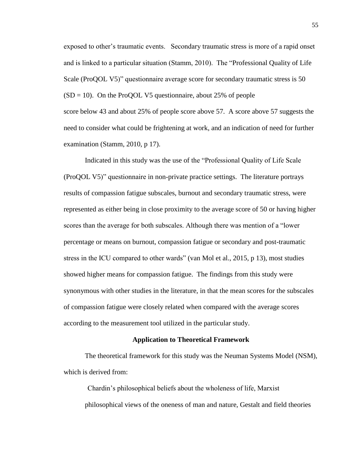exposed to other's traumatic events. Secondary traumatic stress is more of a rapid onset and is linked to a particular situation (Stamm, 2010). The "Professional Quality of Life Scale (ProQOL V5)" questionnaire average score for secondary traumatic stress is 50  $(SD = 10)$ . On the ProQOL V5 questionnaire, about 25% of people score below 43 and about 25% of people score above 57. A score above 57 suggests the need to consider what could be frightening at work, and an indication of need for further examination (Stamm, 2010, p 17).

Indicated in this study was the use of the "Professional Quality of Life Scale (ProQOL V5)" questionnaire in non-private practice settings. The literature portrays results of compassion fatigue subscales, burnout and secondary traumatic stress, were represented as either being in close proximity to the average score of 50 or having higher scores than the average for both subscales. Although there was mention of a "lower percentage or means on burnout, compassion fatigue or secondary and post-traumatic stress in the ICU compared to other wards" (van Mol et al., 2015, p 13), most studies showed higher means for compassion fatigue. The findings from this study were synonymous with other studies in the literature, in that the mean scores for the subscales of compassion fatigue were closely related when compared with the average scores according to the measurement tool utilized in the particular study.

#### **Application to Theoretical Framework**

The theoretical framework for this study was the Neuman Systems Model (NSM), which is derived from:

Chardin's philosophical beliefs about the wholeness of life, Marxist philosophical views of the oneness of man and nature, Gestalt and field theories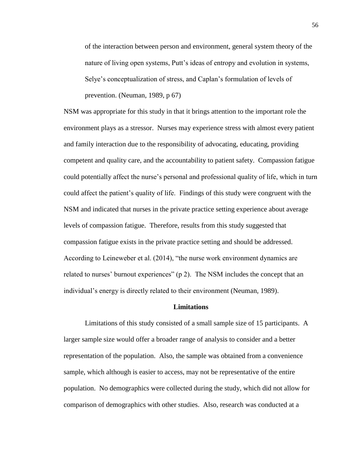of the interaction between person and environment, general system theory of the nature of living open systems, Putt's ideas of entropy and evolution in systems, Selye's conceptualization of stress, and Caplan's formulation of levels of prevention. (Neuman, 1989, p 67)

NSM was appropriate for this study in that it brings attention to the important role the environment plays as a stressor. Nurses may experience stress with almost every patient and family interaction due to the responsibility of advocating, educating, providing competent and quality care, and the accountability to patient safety. Compassion fatigue could potentially affect the nurse's personal and professional quality of life, which in turn could affect the patient's quality of life. Findings of this study were congruent with the NSM and indicated that nurses in the private practice setting experience about average levels of compassion fatigue. Therefore, results from this study suggested that compassion fatigue exists in the private practice setting and should be addressed. According to Leineweber et al. (2014), "the nurse work environment dynamics are related to nurses' burnout experiences" (p 2). The NSM includes the concept that an individual's energy is directly related to their environment (Neuman, 1989).

#### **Limitations**

Limitations of this study consisted of a small sample size of 15 participants. A larger sample size would offer a broader range of analysis to consider and a better representation of the population. Also, the sample was obtained from a convenience sample, which although is easier to access, may not be representative of the entire population. No demographics were collected during the study, which did not allow for comparison of demographics with other studies. Also, research was conducted at a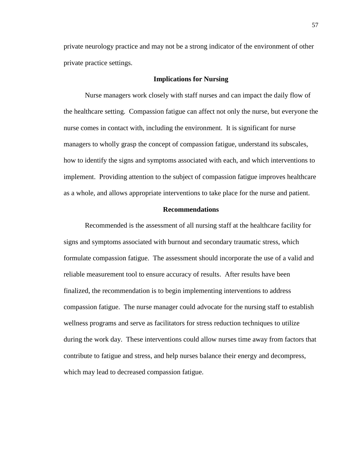private neurology practice and may not be a strong indicator of the environment of other private practice settings.

# **Implications for Nursing**

Nurse managers work closely with staff nurses and can impact the daily flow of the healthcare setting. Compassion fatigue can affect not only the nurse, but everyone the nurse comes in contact with, including the environment. It is significant for nurse managers to wholly grasp the concept of compassion fatigue, understand its subscales, how to identify the signs and symptoms associated with each, and which interventions to implement. Providing attention to the subject of compassion fatigue improves healthcare as a whole, and allows appropriate interventions to take place for the nurse and patient.

## **Recommendations**

Recommended is the assessment of all nursing staff at the healthcare facility for signs and symptoms associated with burnout and secondary traumatic stress, which formulate compassion fatigue. The assessment should incorporate the use of a valid and reliable measurement tool to ensure accuracy of results. After results have been finalized, the recommendation is to begin implementing interventions to address compassion fatigue. The nurse manager could advocate for the nursing staff to establish wellness programs and serve as facilitators for stress reduction techniques to utilize during the work day. These interventions could allow nurses time away from factors that contribute to fatigue and stress, and help nurses balance their energy and decompress, which may lead to decreased compassion fatigue.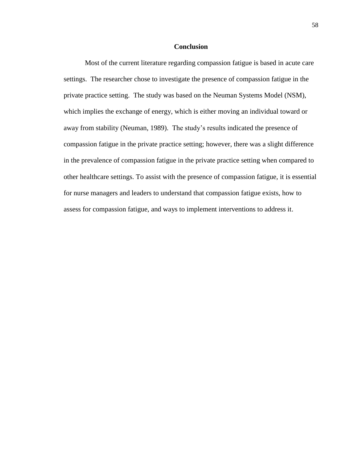# **Conclusion**

Most of the current literature regarding compassion fatigue is based in acute care settings. The researcher chose to investigate the presence of compassion fatigue in the private practice setting. The study was based on the Neuman Systems Model (NSM), which implies the exchange of energy, which is either moving an individual toward or away from stability (Neuman, 1989). The study's results indicated the presence of compassion fatigue in the private practice setting; however, there was a slight difference in the prevalence of compassion fatigue in the private practice setting when compared to other healthcare settings. To assist with the presence of compassion fatigue, it is essential for nurse managers and leaders to understand that compassion fatigue exists, how to assess for compassion fatigue, and ways to implement interventions to address it.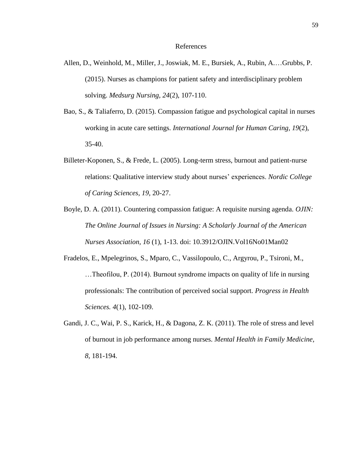#### References

- Allen, D., Weinhold, M., Miller, J., Joswiak, M. E., Bursiek, A., Rubin, A.…Grubbs, P. (2015). Nurses as champions for patient safety and interdisciplinary problem solving. *Medsurg Nursing, 24*(2), 107-110.
- Bao, S., & Taliaferro, D. (2015). Compassion fatigue and psychological capital in nurses working in acute care settings. *International Journal for Human Caring, 19*(2), 35-40.
- Billeter-Koponen, S., & Frede, L. (2005). Long-term stress, burnout and patient-nurse relations: Qualitative interview study about nurses' experiences. *Nordic College of Caring Sciences, 19,* 20-27.
- Boyle, D. A. (2011). Countering compassion fatigue: A requisite nursing agenda. *OJIN: The Online Journal of Issues in Nursing: A Scholarly Journal of the American Nurses Association, 16* (1), 1-13. doi: 10.3912/OJIN.Vol16No01Man02
- Fradelos, E., Mpelegrinos, S., Mparo, C., Vassilopoulo, C., Argyrou, P., Tsironi, M., …Theofilou, P. (2014). Burnout syndrome impacts on quality of life in nursing professionals: The contribution of perceived social support. *Progress in Health Sciences. 4*(1), 102-109.
- Gandi, J. C., Wai, P. S., Karick, H., & Dagona, Z. K. (2011). The role of stress and level of burnout in job performance among nurses. *Mental Health in Family Medicine, 8,* 181-194.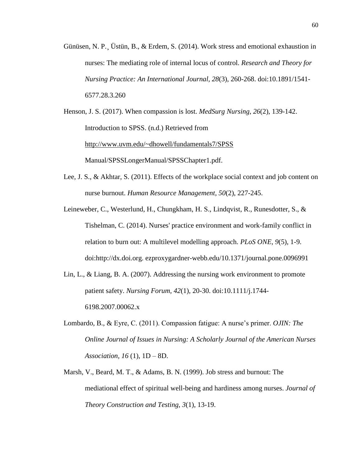Günüsen, N. P.¸ Üstün, B., & Erdem, S. (2014). Work stress and emotional exhaustion in nurses: The mediating role of internal locus of control. *Research and Theory for Nursing Practice: An International Journal, 28*(3), 260-268. doi:10.1891/1541- 6577.28.3.260

Henson, J. S. (2017). When compassion is lost. *MedSurg Nursing, 26*(2), 139-142. Introduction to SPSS. (n.d.) Retrieved from <http://www.uvm.edu/~dhowell/fundamentals7/SPSS> Manual/SPSSLongerManual/SPSSChapter1.pdf.

Lee, J. S., & Akhtar, S. (2011). Effects of the workplace social context and job content on nurse burnout. *Human Resource Management*, *50*(2), 227-245.

Leineweber, C., Westerlund, H., Chungkham, H. S., Lindqvist, R., Runesdotter, S., & Tishelman, C. (2014). Nurses' practice environment and work-family conflict in relation to burn out: A multilevel modelling approach. *PLoS ONE, 9*(5), 1-9. doi:http://dx.doi.org. ezproxygardner-webb.edu/10.1371/journal.pone.0096991

Lin, L., & Liang, B. A. (2007). Addressing the nursing work environment to promote patient safety. *Nursing Forum, 42*(1), 20-30. doi:10.1111/j.1744- 6198.2007.00062.x

- Lombardo, B., & Eyre, C. (2011). Compassion fatigue: A nurse's primer. *OJIN: The Online Journal of Issues in Nursing: A Scholarly Journal of the American Nurses Association, 16* (1), 1D – 8D.
- Marsh, V., Beard, M. T., & Adams, B. N. (1999). Job stress and burnout: The mediational effect of spiritual well-being and hardiness among nurses. *Journal of Theory Construction and Testing, 3*(1), 13-19.